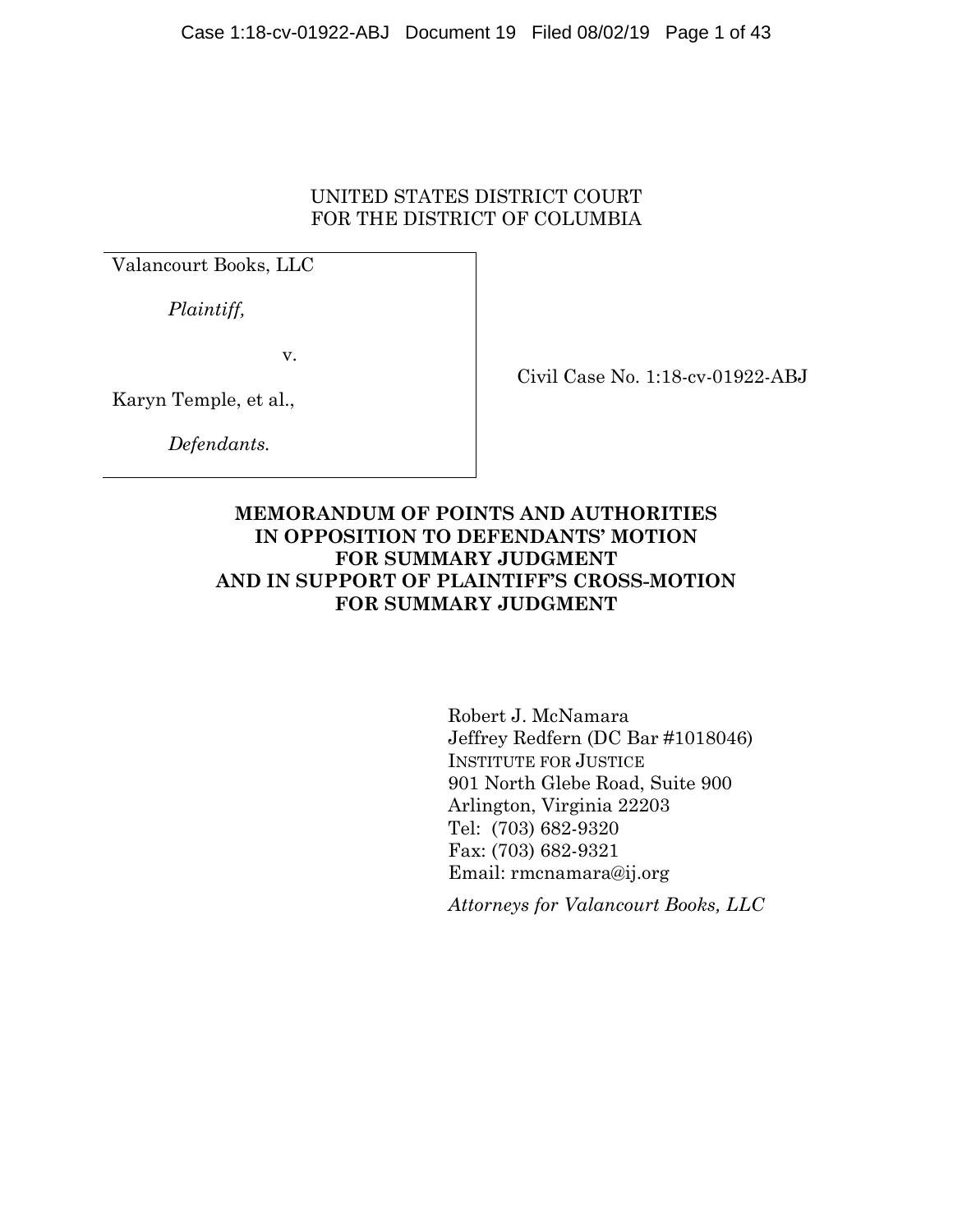## UNITED STATES DISTRICT COURT FOR THE DISTRICT OF COLUMBIA

Valancourt Books, LLC

 *Plaintiff,* 

v.

Civil Case No. 1:18-cv-01922-ABJ

Karyn Temple, et al.,

 *Defendants.* 

## **MEMORANDUM OF POINTS AND AUTHORITIES IN OPPOSITION TO DEFENDANTS' MOTION FOR SUMMARY JUDGMENT AND IN SUPPORT OF PLAINTIFF'S CROSS-MOTION FOR SUMMARY JUDGMENT**

Robert J. McNamara Jeffrey Redfern (DC Bar #1018046) INSTITUTE FOR JUSTICE 901 North Glebe Road, Suite 900 Arlington, Virginia 22203 Tel: (703) 682-9320 Fax: (703) 682-9321 Email: rmcnamara@ij.org

*Attorneys for Valancourt Books, LLC*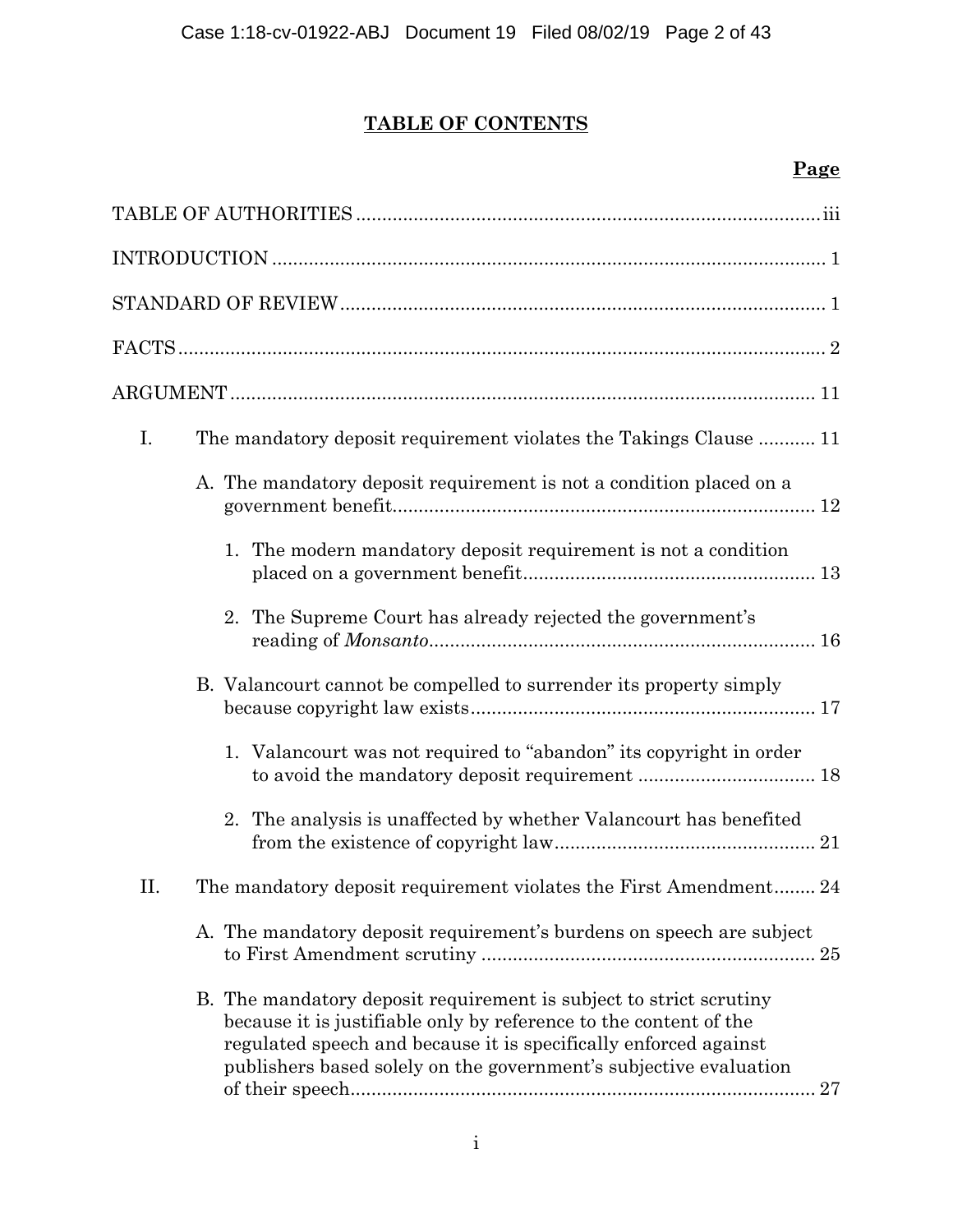# **TABLE OF CONTENTS**

## **Page**

| I. | The mandatory deposit requirement violates the Takings Clause  11                                                                                                                                                                                                                      |
|----|----------------------------------------------------------------------------------------------------------------------------------------------------------------------------------------------------------------------------------------------------------------------------------------|
|    | A. The mandatory deposit requirement is not a condition placed on a                                                                                                                                                                                                                    |
|    | 1. The modern mandatory deposit requirement is not a condition                                                                                                                                                                                                                         |
|    | 2. The Supreme Court has already rejected the government's                                                                                                                                                                                                                             |
|    | B. Valancourt cannot be compelled to surrender its property simply                                                                                                                                                                                                                     |
|    | 1. Valancourt was not required to "abandon" its copyright in order<br>to avoid the mandatory deposit requirement  18                                                                                                                                                                   |
|    | 2. The analysis is unaffected by whether Valancourt has benefited                                                                                                                                                                                                                      |
| П. | The mandatory deposit requirement violates the First Amendment 24                                                                                                                                                                                                                      |
|    | A. The mandatory deposit requirement's burdens on speech are subject                                                                                                                                                                                                                   |
|    | B. The mandatory deposit requirement is subject to strict scrutiny<br>because it is justifiable only by reference to the content of the<br>regulated speech and because it is specifically enforced against<br>publishers based solely on the government's subjective evaluation<br>27 |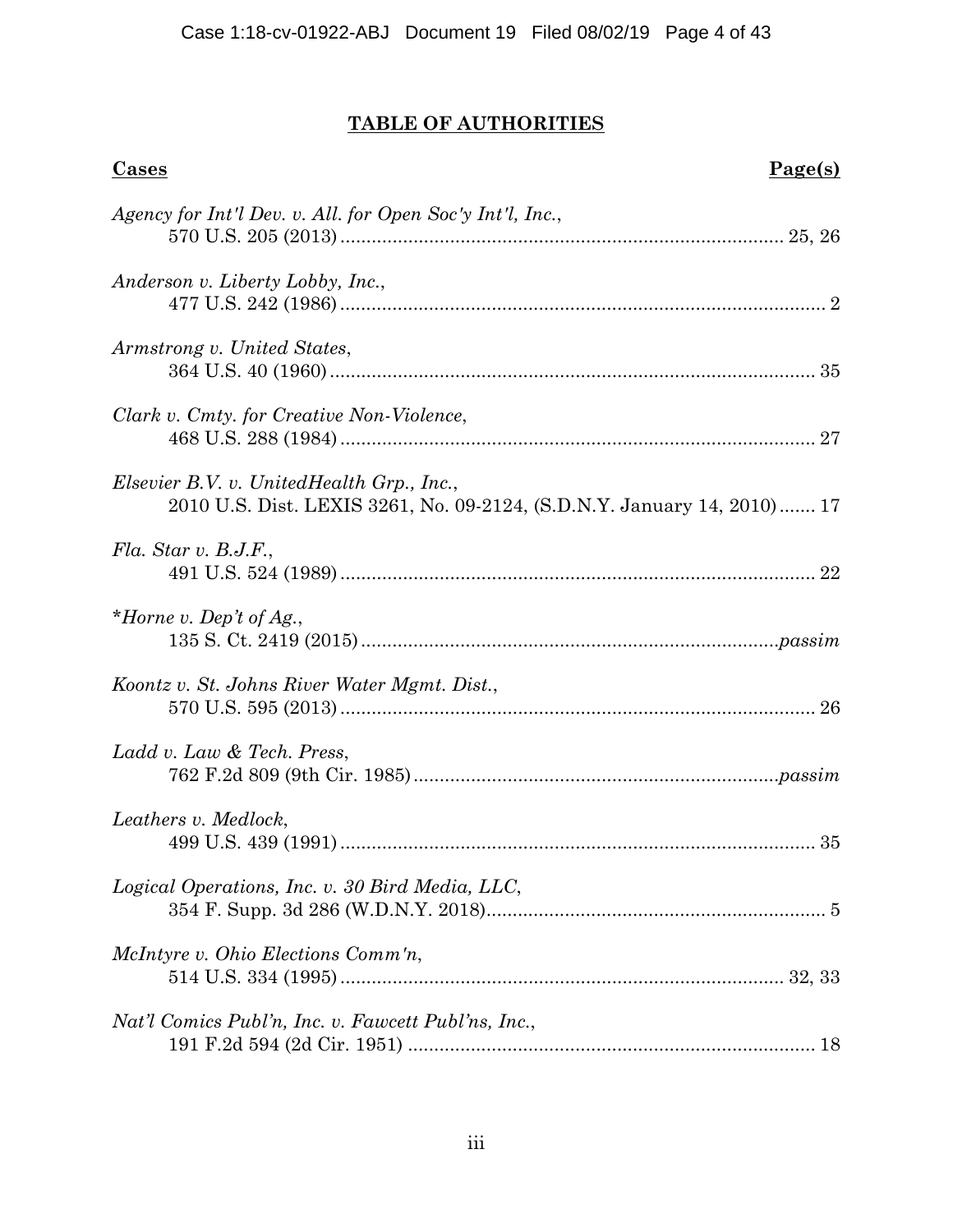# **TABLE OF AUTHORITIES**

| Page(s)<br><b>Cases</b>                                                                                              |  |
|----------------------------------------------------------------------------------------------------------------------|--|
| Agency for Int'l Dev. v. All. for Open Soc'y Int'l, Inc.,                                                            |  |
| Anderson v. Liberty Lobby, Inc.,                                                                                     |  |
| Armstrong v. United States,                                                                                          |  |
| Clark v. Cmty. for Creative Non-Violence,                                                                            |  |
| Elsevier B.V. v. UnitedHealth Grp., Inc.,<br>2010 U.S. Dist. LEXIS 3261, No. 09-2124, (S.D.N.Y. January 14, 2010) 17 |  |
| Fla. Star v. B.J.F.,                                                                                                 |  |
| *Horne v. Dep't of Ag.,                                                                                              |  |
| Koontz v. St. Johns River Water Mgmt. Dist.,                                                                         |  |
| Ladd v. Law & Tech. Press,                                                                                           |  |
| Leathers v. Medlock,                                                                                                 |  |
| Logical Operations, Inc. v. 30 Bird Media, LLC,                                                                      |  |
| McIntyre v. Ohio Elections Comm'n,                                                                                   |  |
| Nat'l Comics Publ'n, Inc. v. Fawcett Publ'ns, Inc.,                                                                  |  |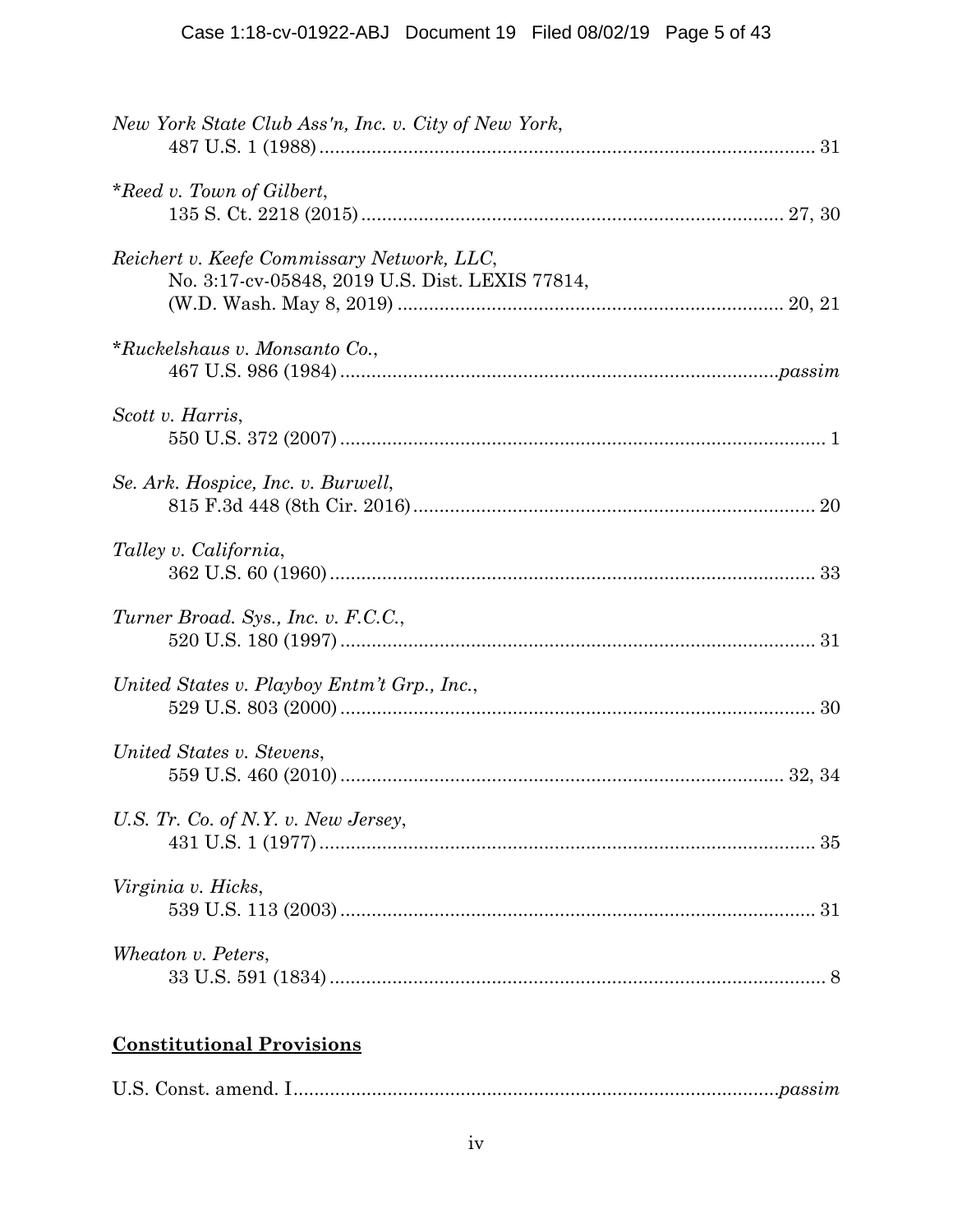| New York State Club Ass'n, Inc. v. City of New York,                                          |
|-----------------------------------------------------------------------------------------------|
| *Reed v. Town of Gilbert,                                                                     |
| Reichert v. Keefe Commissary Network, LLC,<br>No. 3:17-cv-05848, 2019 U.S. Dist. LEXIS 77814, |
| *Ruckelshaus v. Monsanto Co.,                                                                 |
| Scott v. Harris,                                                                              |
| Se. Ark. Hospice, Inc. v. Burwell,                                                            |
| Talley v. California,                                                                         |
| Turner Broad. Sys., Inc. v. F.C.C.,                                                           |
| United States v. Playboy Entm't Grp., Inc.,                                                   |
| United States v. Stevens,                                                                     |
| U.S. Tr. Co. of N.Y. v. New Jersey,                                                           |
| Virginia v. Hicks,                                                                            |
| Wheaton v. Peters,                                                                            |

# **Constitutional Provisions**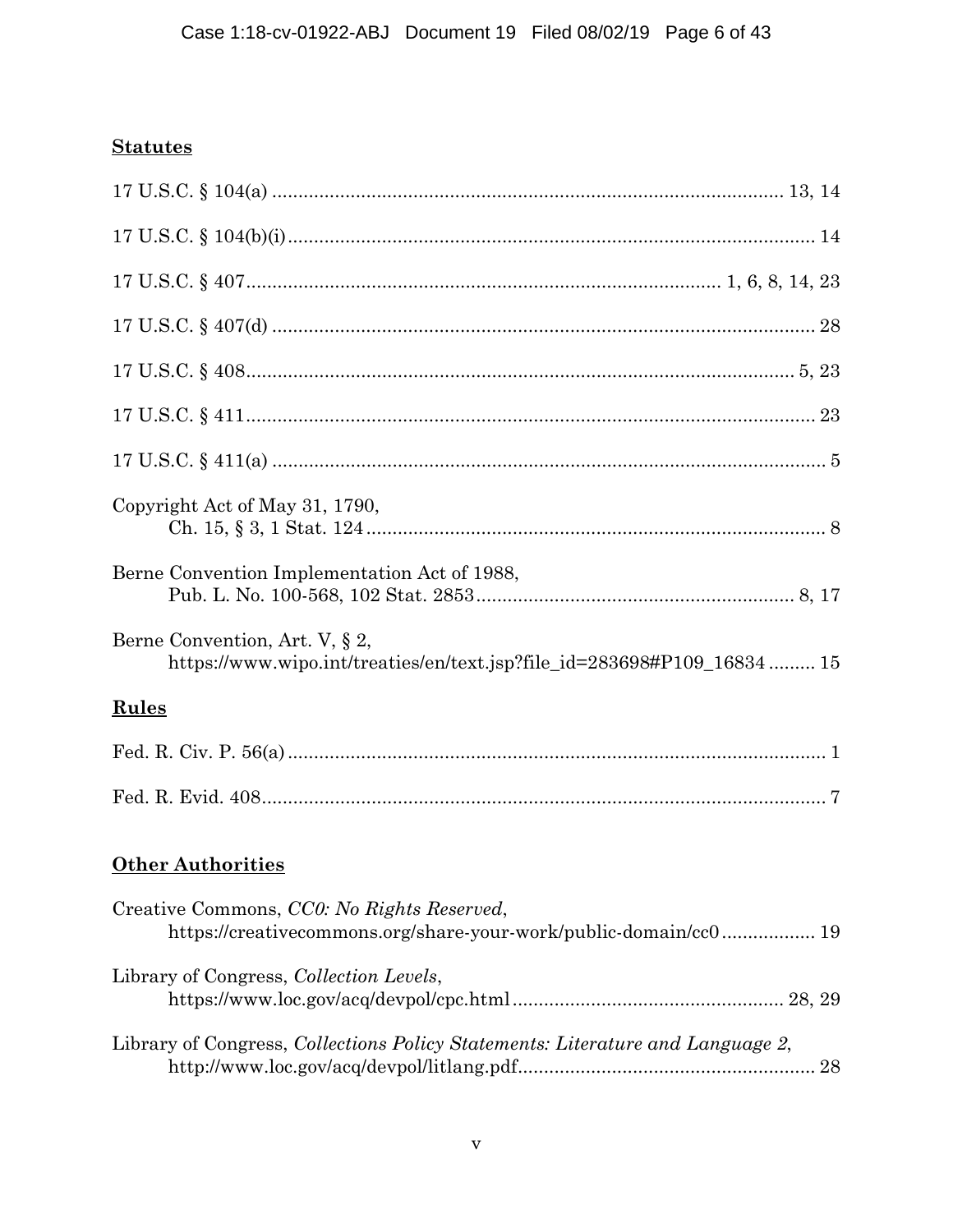## **Statutes**

| Copyright Act of May 31, 1790,                                                                                 |
|----------------------------------------------------------------------------------------------------------------|
| Berne Convention Implementation Act of 1988,                                                                   |
| Berne Convention, Art. V, § 2,<br>https://www.wipo.int/treaties/en/text.jsp?file_id=283698#P109_16834  15      |
| <b>Rules</b>                                                                                                   |
|                                                                                                                |
|                                                                                                                |
| <b>Other Authorities</b>                                                                                       |
| Creative Commons, CCO: No Rights Reserved,<br>https://creativecommons.org/share-your-work/public-domain/cc0 19 |
| Library of Congress, Collection Levels,                                                                        |
| Library of Congress, Collections Policy Statements: Literature and Language 2,<br>28                           |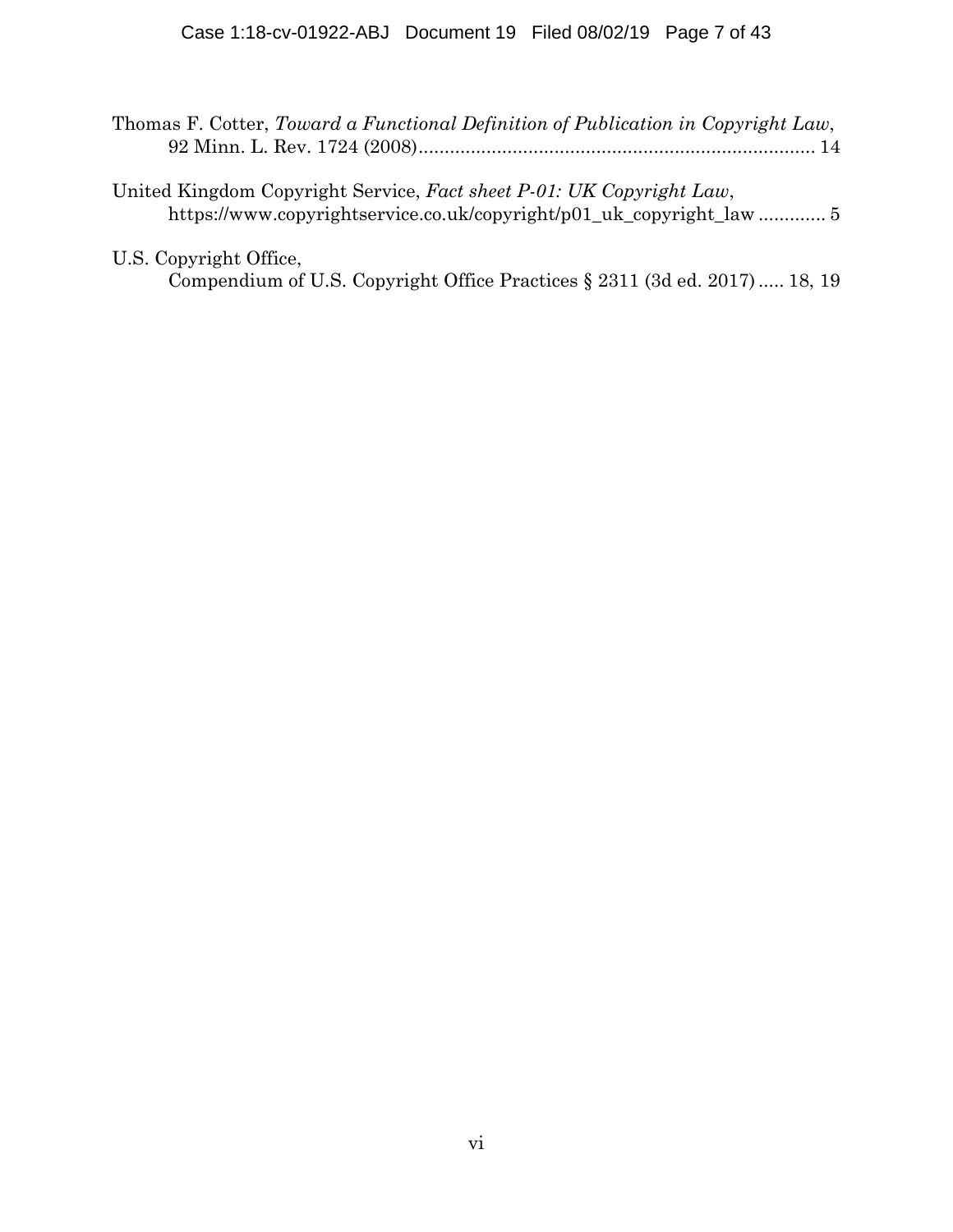| Thomas F. Cotter, Toward a Functional Definition of Publication in Copyright Law,                                                           |
|---------------------------------------------------------------------------------------------------------------------------------------------|
|                                                                                                                                             |
| United Kingdom Copyright Service, Fact sheet P-01: UK Copyright Law,<br>https://www.copyrightservice.co.uk/copyright/p01_uk_copyright_law 5 |
|                                                                                                                                             |
| U.S. Copyright Office,                                                                                                                      |
| Compendium of U.S. Copyright Office Practices § 2311 (3d ed. 2017)  18, 19                                                                  |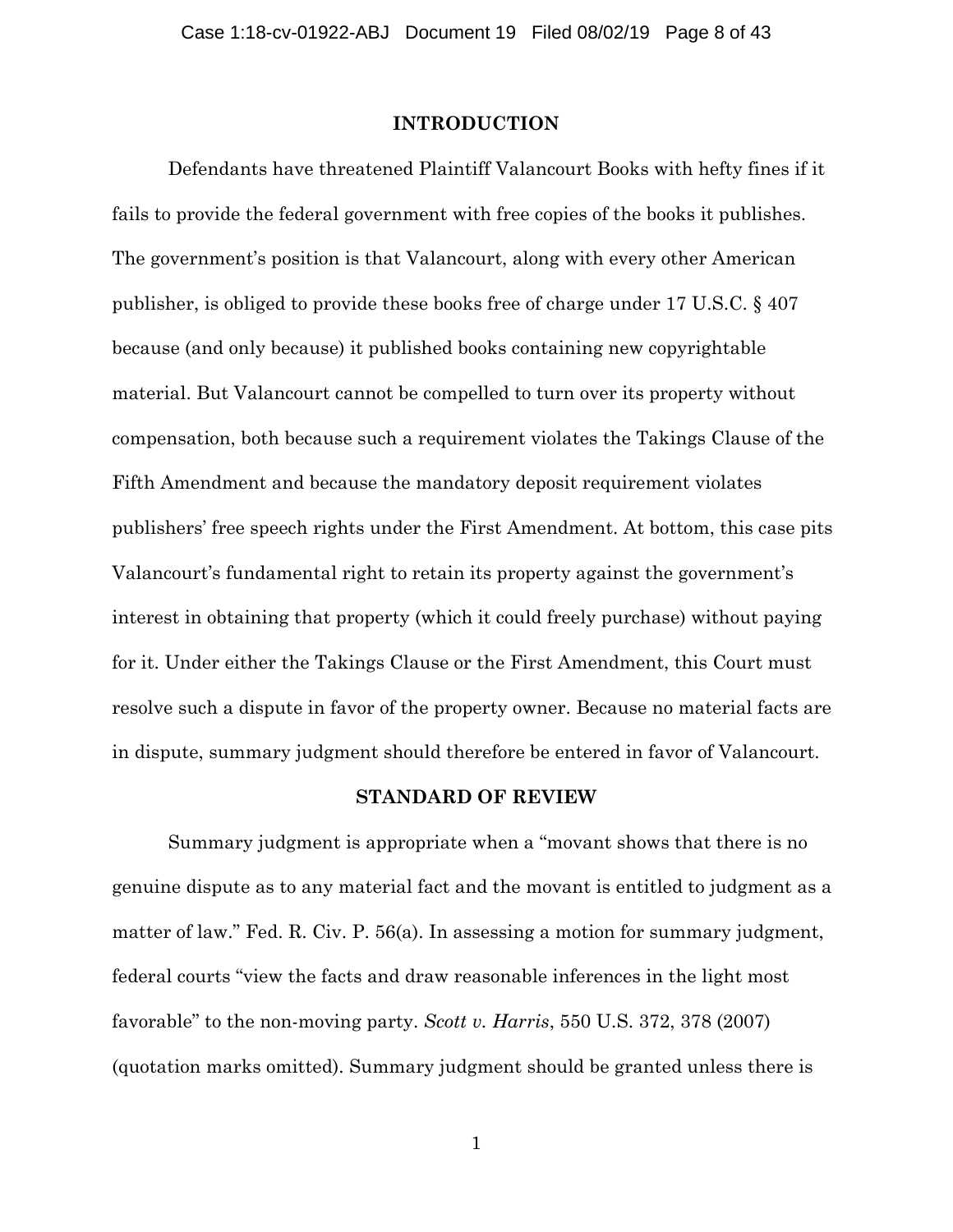#### **INTRODUCTION**

Defendants have threatened Plaintiff Valancourt Books with hefty fines if it fails to provide the federal government with free copies of the books it publishes. The government's position is that Valancourt, along with every other American publisher, is obliged to provide these books free of charge under 17 U.S.C. § 407 because (and only because) it published books containing new copyrightable material. But Valancourt cannot be compelled to turn over its property without compensation, both because such a requirement violates the Takings Clause of the Fifth Amendment and because the mandatory deposit requirement violates publishers' free speech rights under the First Amendment. At bottom, this case pits Valancourt's fundamental right to retain its property against the government's interest in obtaining that property (which it could freely purchase) without paying for it. Under either the Takings Clause or the First Amendment, this Court must resolve such a dispute in favor of the property owner. Because no material facts are in dispute, summary judgment should therefore be entered in favor of Valancourt.

#### **STANDARD OF REVIEW**

Summary judgment is appropriate when a "movant shows that there is no genuine dispute as to any material fact and the movant is entitled to judgment as a matter of law." Fed. R. Civ. P. 56(a). In assessing a motion for summary judgment, federal courts "view the facts and draw reasonable inferences in the light most favorable" to the non-moving party. *Scott v. Harris*, 550 U.S. 372, 378 (2007) (quotation marks omitted). Summary judgment should be granted unless there is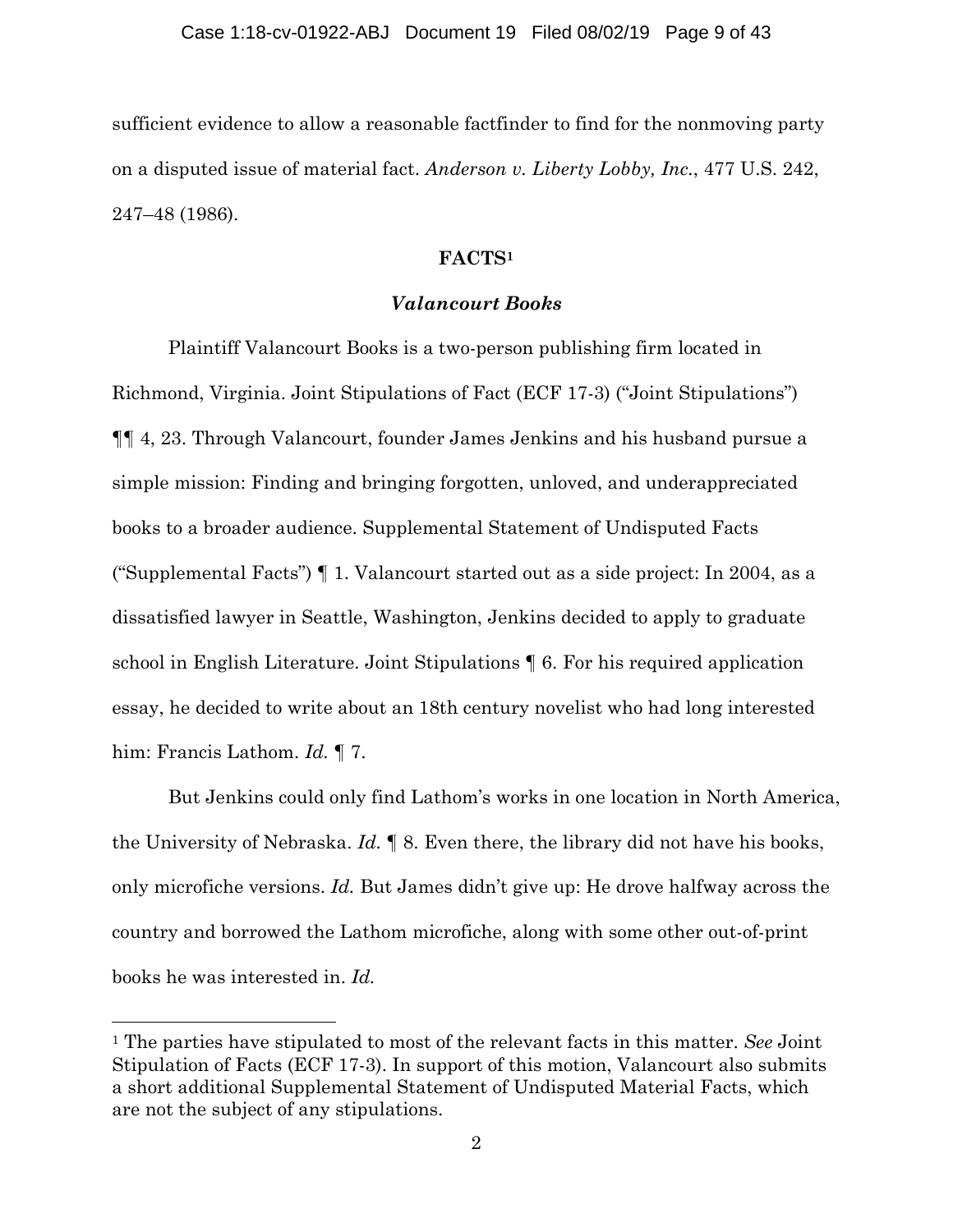sufficient evidence to allow a reasonable factfinder to find for the nonmoving party on a disputed issue of material fact. *Anderson v. Liberty Lobby, Inc.*, 477 U.S. 242, 247–48 (1986).

### **FACTS1**

## *Valancourt Books*

Plaintiff Valancourt Books is a two-person publishing firm located in Richmond, Virginia. Joint Stipulations of Fact (ECF 17-3) ("Joint Stipulations") ¶¶ 4, 23. Through Valancourt, founder James Jenkins and his husband pursue a simple mission: Finding and bringing forgotten, unloved, and underappreciated books to a broader audience. Supplemental Statement of Undisputed Facts ("Supplemental Facts") ¶ 1. Valancourt started out as a side project: In 2004, as a dissatisfied lawyer in Seattle, Washington, Jenkins decided to apply to graduate school in English Literature. Joint Stipulations ¶ 6. For his required application essay, he decided to write about an 18th century novelist who had long interested him: Francis Lathom. *Id.* ¶ 7.

 But Jenkins could only find Lathom's works in one location in North America, the University of Nebraska. *Id.* ¶ 8. Even there, the library did not have his books, only microfiche versions. *Id.* But James didn't give up: He drove halfway across the country and borrowed the Lathom microfiche, along with some other out-of-print books he was interested in. *Id.* 

 $\overline{a}$ 

<sup>1</sup> The parties have stipulated to most of the relevant facts in this matter. *See* Joint Stipulation of Facts (ECF 17-3). In support of this motion, Valancourt also submits a short additional Supplemental Statement of Undisputed Material Facts, which are not the subject of any stipulations.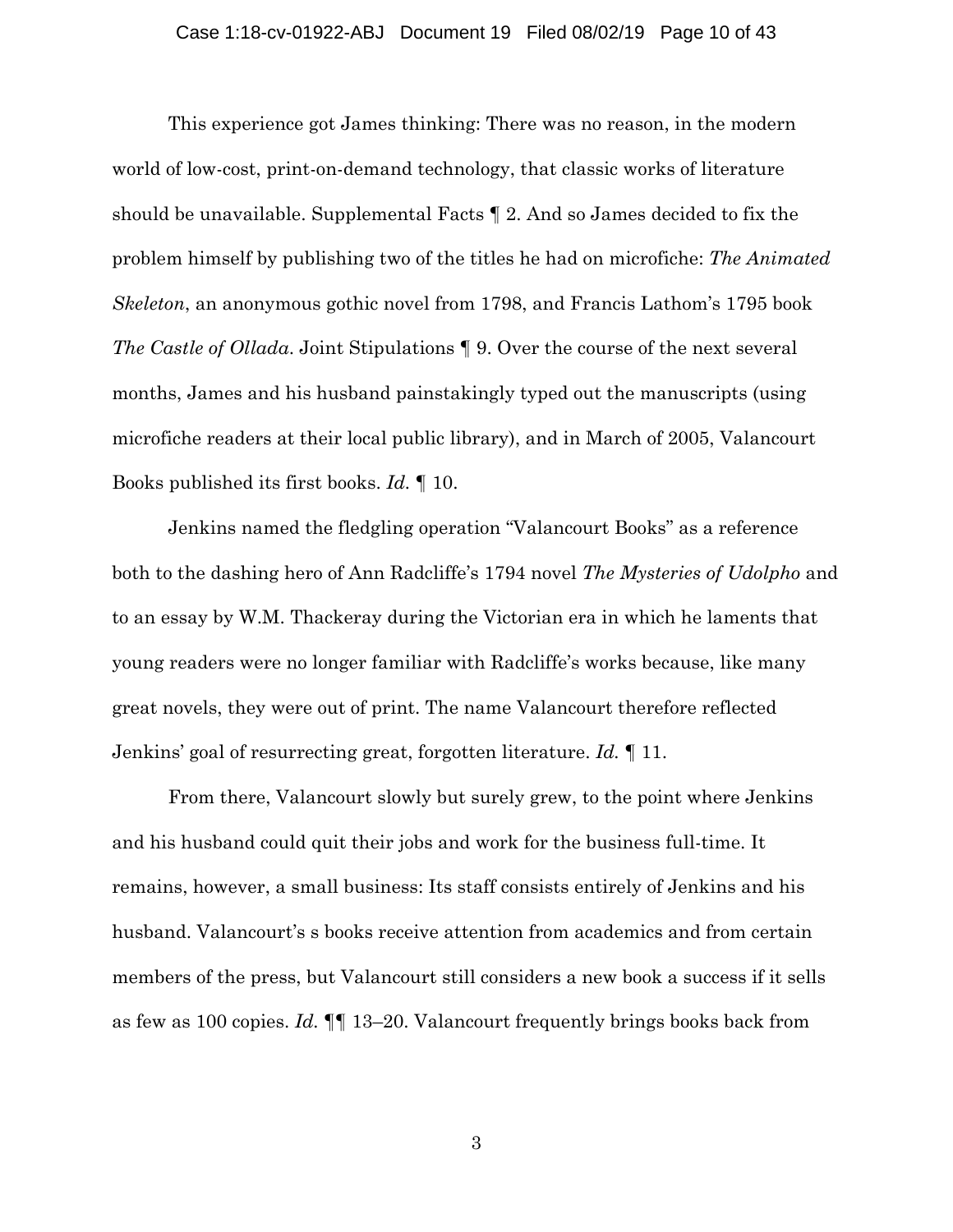#### Case 1:18-cv-01922-ABJ Document 19 Filed 08/02/19 Page 10 of 43

This experience got James thinking: There was no reason, in the modern world of low-cost, print-on-demand technology, that classic works of literature should be unavailable. Supplemental Facts ¶ 2. And so James decided to fix the problem himself by publishing two of the titles he had on microfiche: *The Animated Skeleton*, an anonymous gothic novel from 1798, and Francis Lathom's 1795 book *The Castle of Ollada*. Joint Stipulations ¶ 9. Over the course of the next several months, James and his husband painstakingly typed out the manuscripts (using microfiche readers at their local public library), and in March of 2005, Valancourt Books published its first books. *Id.* ¶ 10.

Jenkins named the fledgling operation "Valancourt Books" as a reference both to the dashing hero of Ann Radcliffe's 1794 novel *The Mysteries of Udolpho* and to an essay by W.M. Thackeray during the Victorian era in which he laments that young readers were no longer familiar with Radcliffe's works because, like many great novels, they were out of print. The name Valancourt therefore reflected Jenkins' goal of resurrecting great, forgotten literature. *Id.* ¶ 11.

From there, Valancourt slowly but surely grew, to the point where Jenkins and his husband could quit their jobs and work for the business full-time. It remains, however, a small business: Its staff consists entirely of Jenkins and his husband. Valancourt's s books receive attention from academics and from certain members of the press, but Valancourt still considers a new book a success if it sells as few as 100 copies. *Id.* ¶¶ 13–20. Valancourt frequently brings books back from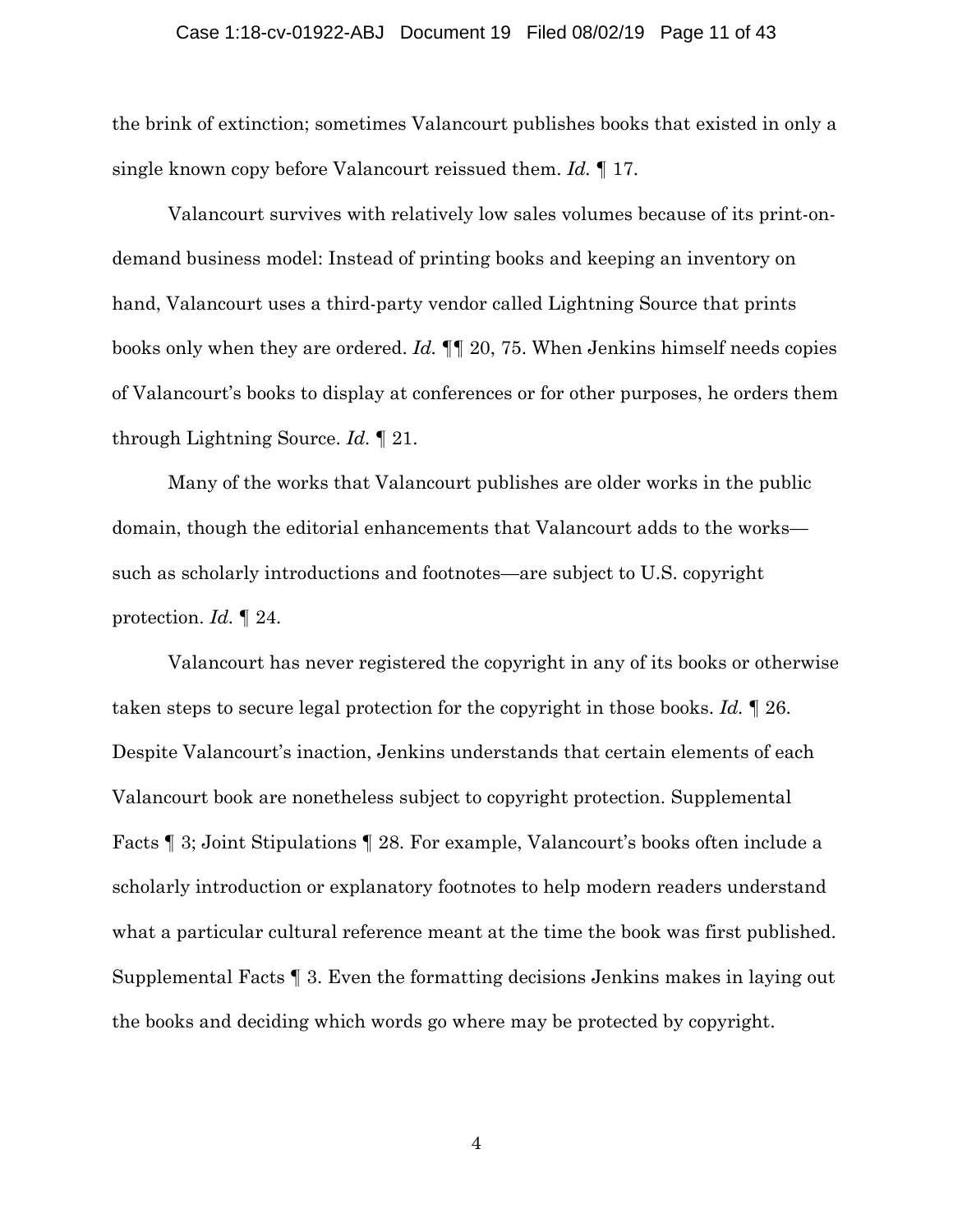#### Case 1:18-cv-01922-ABJ Document 19 Filed 08/02/19 Page 11 of 43

the brink of extinction; sometimes Valancourt publishes books that existed in only a single known copy before Valancourt reissued them. *Id.* ¶ 17.

Valancourt survives with relatively low sales volumes because of its print-ondemand business model: Instead of printing books and keeping an inventory on hand, Valancourt uses a third-party vendor called Lightning Source that prints books only when they are ordered. *Id.* ¶¶ 20, 75. When Jenkins himself needs copies of Valancourt's books to display at conferences or for other purposes, he orders them through Lightning Source. *Id.* ¶ 21.

Many of the works that Valancourt publishes are older works in the public domain, though the editorial enhancements that Valancourt adds to the works such as scholarly introductions and footnotes—are subject to U.S. copyright protection. *Id.* ¶ 24.

Valancourt has never registered the copyright in any of its books or otherwise taken steps to secure legal protection for the copyright in those books. *Id.* ¶ 26. Despite Valancourt's inaction, Jenkins understands that certain elements of each Valancourt book are nonetheless subject to copyright protection. Supplemental Facts ¶ 3; Joint Stipulations ¶ 28. For example, Valancourt's books often include a scholarly introduction or explanatory footnotes to help modern readers understand what a particular cultural reference meant at the time the book was first published. Supplemental Facts ¶ 3. Even the formatting decisions Jenkins makes in laying out the books and deciding which words go where may be protected by copyright.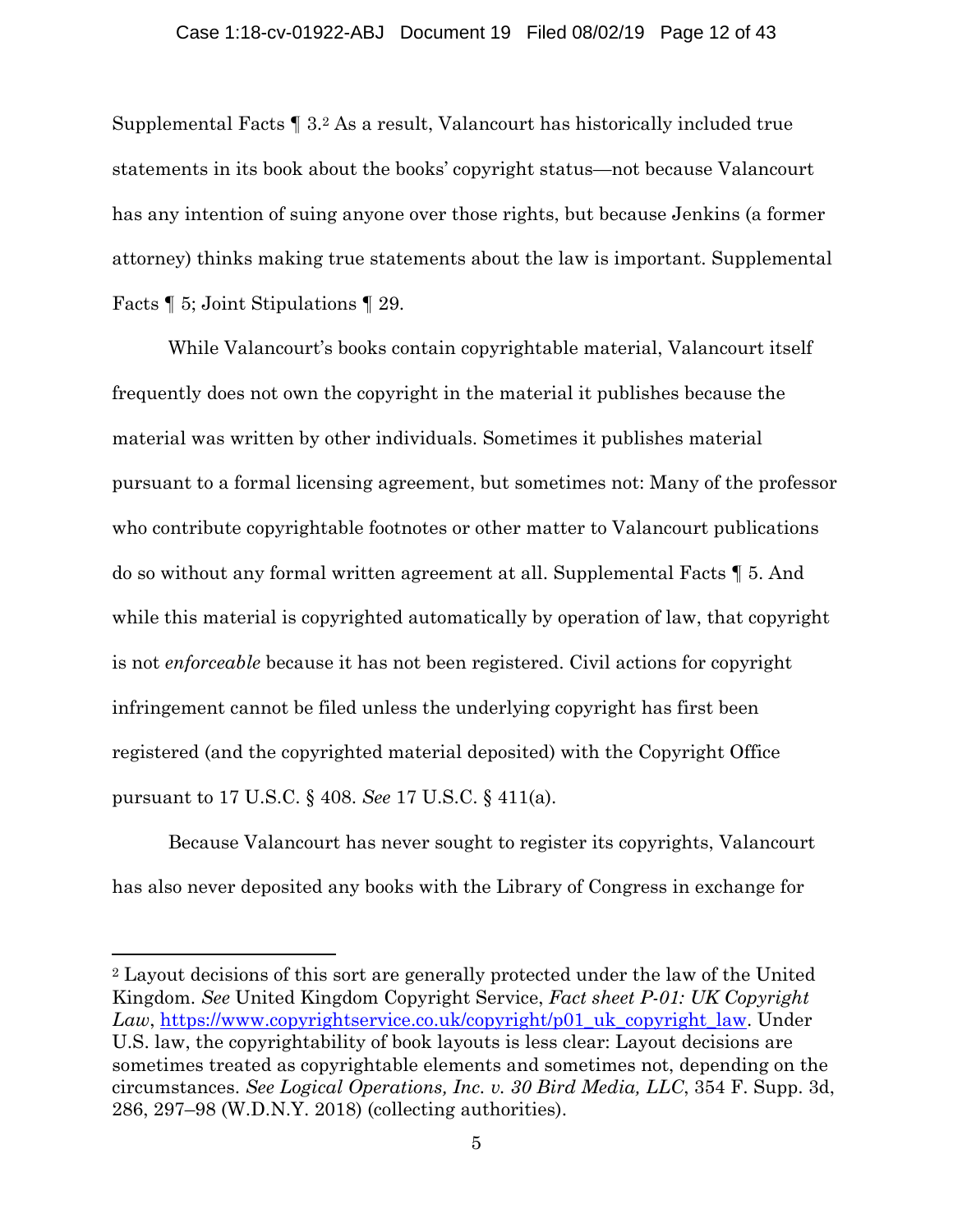Supplemental Facts ¶ 3.2 As a result, Valancourt has historically included true statements in its book about the books' copyright status—not because Valancourt has any intention of suing anyone over those rights, but because Jenkins (a former attorney) thinks making true statements about the law is important. Supplemental Facts ¶ 5; Joint Stipulations ¶ 29.

While Valancourt's books contain copyrightable material, Valancourt itself frequently does not own the copyright in the material it publishes because the material was written by other individuals. Sometimes it publishes material pursuant to a formal licensing agreement, but sometimes not: Many of the professor who contribute copyrightable footnotes or other matter to Valancourt publications do so without any formal written agreement at all. Supplemental Facts ¶ 5. And while this material is copyrighted automatically by operation of law, that copyright is not *enforceable* because it has not been registered. Civil actions for copyright infringement cannot be filed unless the underlying copyright has first been registered (and the copyrighted material deposited) with the Copyright Office pursuant to 17 U.S.C. § 408. *See* 17 U.S.C. § 411(a).

Because Valancourt has never sought to register its copyrights, Valancourt has also never deposited any books with the Library of Congress in exchange for

 $\overline{a}$ 

<sup>2</sup> Layout decisions of this sort are generally protected under the law of the United Kingdom. *See* United Kingdom Copyright Service, *Fact sheet P-01: UK Copyright Law*, https://www.copyrightservice.co.uk/copyright/p01\_uk\_copyright\_law. Under U.S. law, the copyrightability of book layouts is less clear: Layout decisions are sometimes treated as copyrightable elements and sometimes not, depending on the circumstances. *See Logical Operations, Inc. v. 30 Bird Media, LLC*, 354 F. Supp. 3d, 286, 297–98 (W.D.N.Y. 2018) (collecting authorities).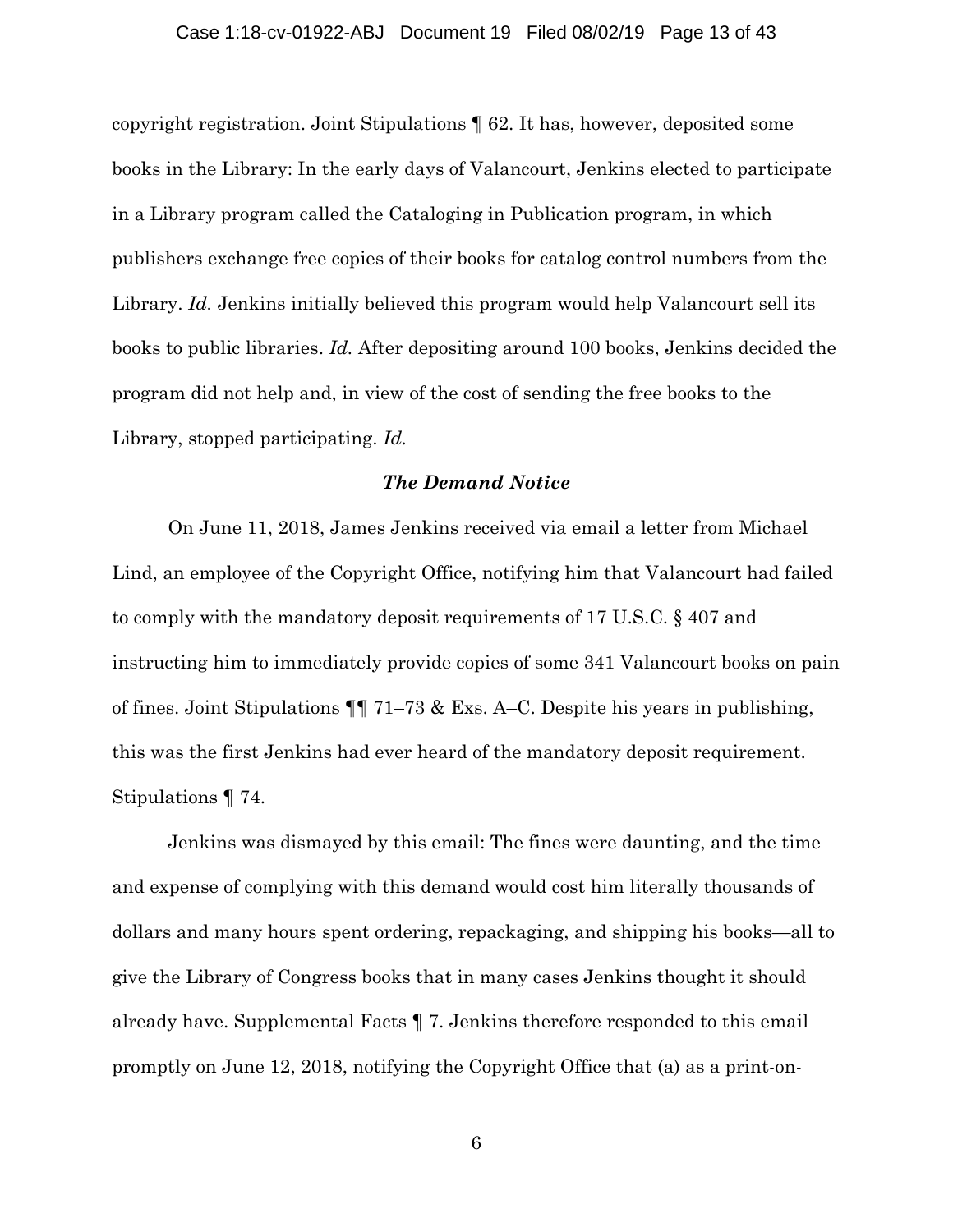#### Case 1:18-cv-01922-ABJ Document 19 Filed 08/02/19 Page 13 of 43

copyright registration. Joint Stipulations ¶ 62. It has, however, deposited some books in the Library: In the early days of Valancourt, Jenkins elected to participate in a Library program called the Cataloging in Publication program, in which publishers exchange free copies of their books for catalog control numbers from the Library. *Id.* Jenkins initially believed this program would help Valancourt sell its books to public libraries. *Id.* After depositing around 100 books, Jenkins decided the program did not help and, in view of the cost of sending the free books to the Library, stopped participating. *Id.* 

## *The Demand Notice*

 On June 11, 2018, James Jenkins received via email a letter from Michael Lind, an employee of the Copyright Office, notifying him that Valancourt had failed to comply with the mandatory deposit requirements of 17 U.S.C. § 407 and instructing him to immediately provide copies of some 341 Valancourt books on pain of fines. Joint Stipulations ¶¶ 71–73 & Exs. A–C. Despite his years in publishing, this was the first Jenkins had ever heard of the mandatory deposit requirement. Stipulations ¶ 74.

 Jenkins was dismayed by this email: The fines were daunting, and the time and expense of complying with this demand would cost him literally thousands of dollars and many hours spent ordering, repackaging, and shipping his books—all to give the Library of Congress books that in many cases Jenkins thought it should already have. Supplemental Facts ¶ 7. Jenkins therefore responded to this email promptly on June 12, 2018, notifying the Copyright Office that (a) as a print-on-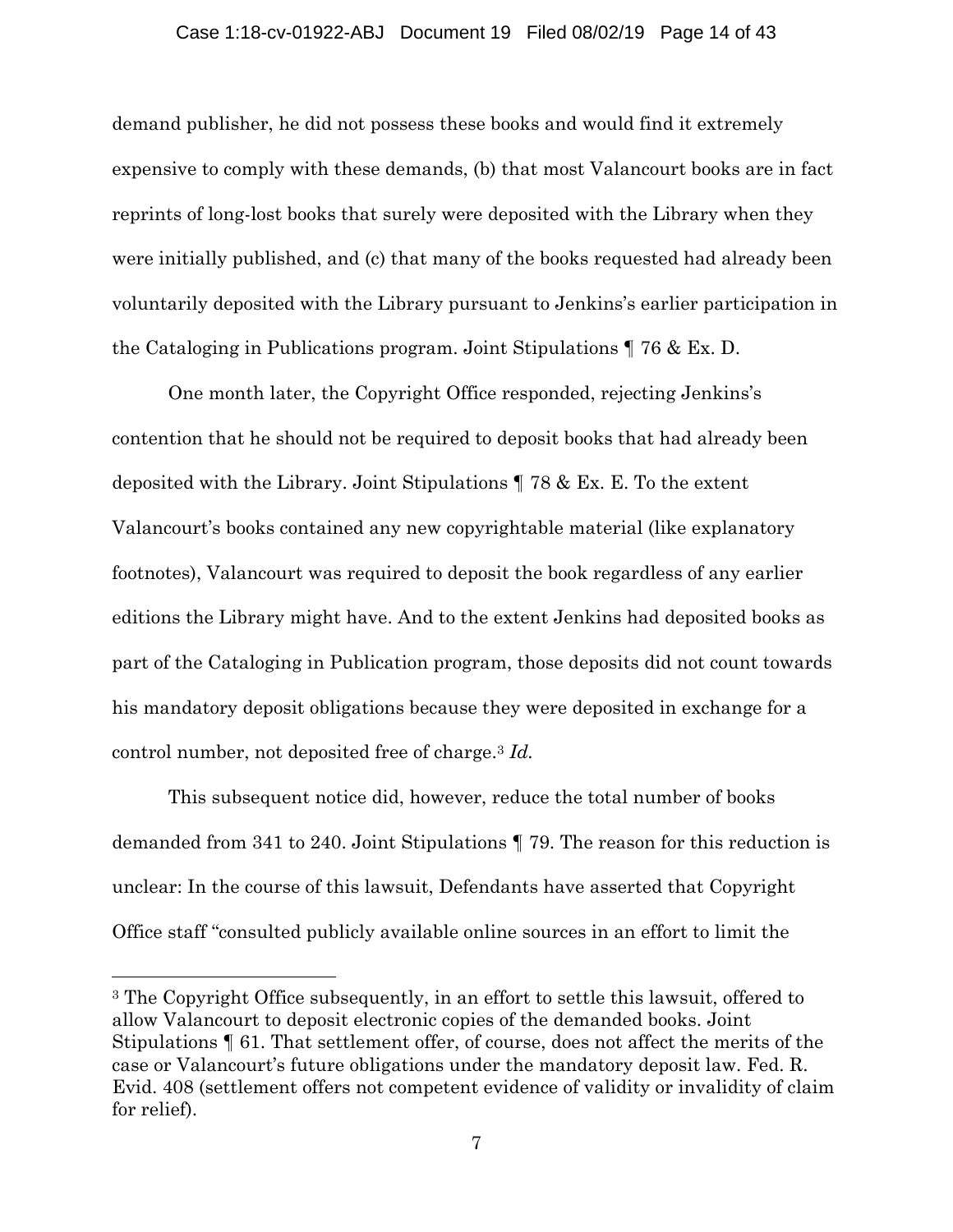#### Case 1:18-cv-01922-ABJ Document 19 Filed 08/02/19 Page 14 of 43

demand publisher, he did not possess these books and would find it extremely expensive to comply with these demands, (b) that most Valancourt books are in fact reprints of long-lost books that surely were deposited with the Library when they were initially published, and (c) that many of the books requested had already been voluntarily deposited with the Library pursuant to Jenkins's earlier participation in the Cataloging in Publications program. Joint Stipulations ¶ 76 & Ex. D.

One month later, the Copyright Office responded, rejecting Jenkins's contention that he should not be required to deposit books that had already been deposited with the Library. Joint Stipulations ¶ 78 & Ex. E. To the extent Valancourt's books contained any new copyrightable material (like explanatory footnotes), Valancourt was required to deposit the book regardless of any earlier editions the Library might have. And to the extent Jenkins had deposited books as part of the Cataloging in Publication program, those deposits did not count towards his mandatory deposit obligations because they were deposited in exchange for a control number, not deposited free of charge.3 *Id.* 

This subsequent notice did, however, reduce the total number of books demanded from 341 to 240. Joint Stipulations ¶ 79. The reason for this reduction is unclear: In the course of this lawsuit, Defendants have asserted that Copyright Office staff "consulted publicly available online sources in an effort to limit the

 $\overline{a}$ 

<sup>3</sup> The Copyright Office subsequently, in an effort to settle this lawsuit, offered to allow Valancourt to deposit electronic copies of the demanded books. Joint Stipulations ¶ 61. That settlement offer, of course, does not affect the merits of the case or Valancourt's future obligations under the mandatory deposit law. Fed. R. Evid. 408 (settlement offers not competent evidence of validity or invalidity of claim for relief).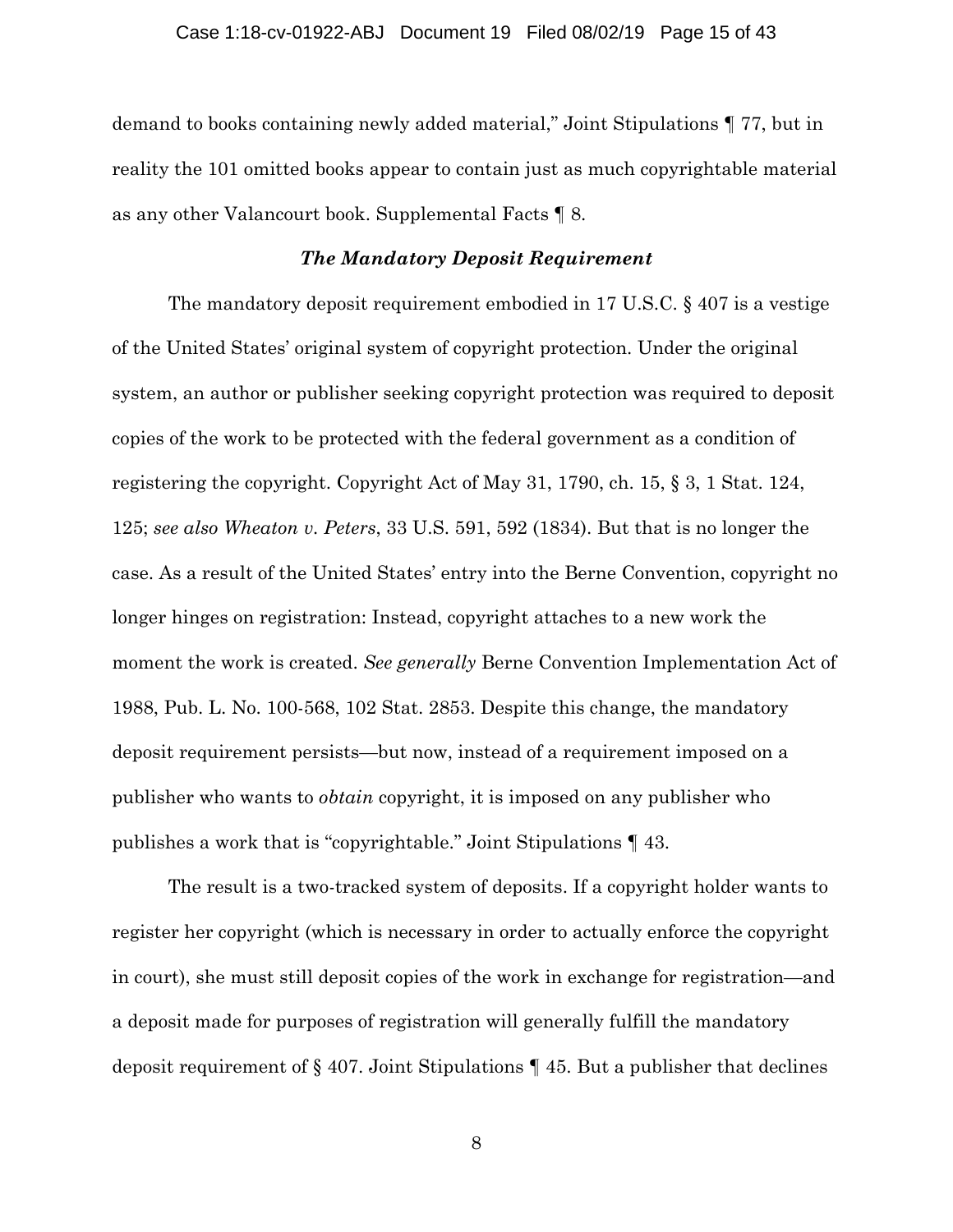demand to books containing newly added material," Joint Stipulations ¶ 77, but in reality the 101 omitted books appear to contain just as much copyrightable material as any other Valancourt book. Supplemental Facts ¶ 8.

#### *The Mandatory Deposit Requirement*

 The mandatory deposit requirement embodied in 17 U.S.C. § 407 is a vestige of the United States' original system of copyright protection. Under the original system, an author or publisher seeking copyright protection was required to deposit copies of the work to be protected with the federal government as a condition of registering the copyright. Copyright Act of May 31, 1790, ch. 15, § 3, 1 Stat. 124, 125; *see also Wheaton v. Peters*, 33 U.S. 591, 592 (1834). But that is no longer the case. As a result of the United States' entry into the Berne Convention, copyright no longer hinges on registration: Instead, copyright attaches to a new work the moment the work is created. *See generally* Berne Convention Implementation Act of 1988, Pub. L. No. 100-568, 102 Stat. 2853. Despite this change, the mandatory deposit requirement persists—but now, instead of a requirement imposed on a publisher who wants to *obtain* copyright, it is imposed on any publisher who publishes a work that is "copyrightable." Joint Stipulations ¶ 43.

The result is a two-tracked system of deposits. If a copyright holder wants to register her copyright (which is necessary in order to actually enforce the copyright in court), she must still deposit copies of the work in exchange for registration—and a deposit made for purposes of registration will generally fulfill the mandatory deposit requirement of § 407. Joint Stipulations ¶ 45. But a publisher that declines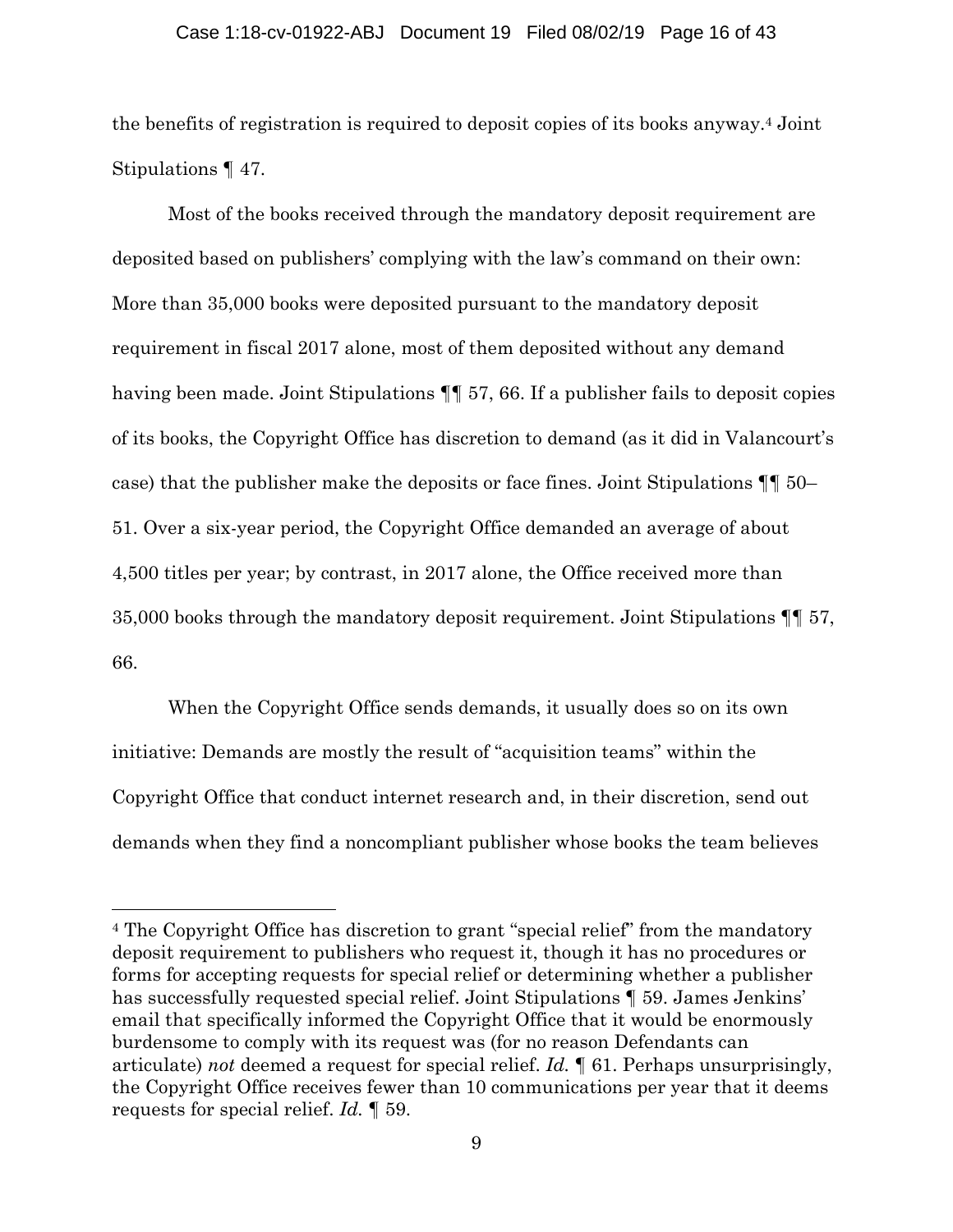#### Case 1:18-cv-01922-ABJ Document 19 Filed 08/02/19 Page 16 of 43

the benefits of registration is required to deposit copies of its books anyway.4 Joint Stipulations ¶ 47.

Most of the books received through the mandatory deposit requirement are deposited based on publishers' complying with the law's command on their own: More than 35,000 books were deposited pursuant to the mandatory deposit requirement in fiscal 2017 alone, most of them deposited without any demand having been made. Joint Stipulations ¶¶ 57, 66. If a publisher fails to deposit copies of its books, the Copyright Office has discretion to demand (as it did in Valancourt's case) that the publisher make the deposits or face fines. Joint Stipulations ¶¶ 50– 51. Over a six-year period, the Copyright Office demanded an average of about 4,500 titles per year; by contrast, in 2017 alone, the Office received more than 35,000 books through the mandatory deposit requirement. Joint Stipulations ¶¶ 57, 66.

When the Copyright Office sends demands, it usually does so on its own initiative: Demands are mostly the result of "acquisition teams" within the Copyright Office that conduct internet research and, in their discretion, send out demands when they find a noncompliant publisher whose books the team believes

 $\overline{a}$ 

<sup>4</sup> The Copyright Office has discretion to grant "special relief" from the mandatory deposit requirement to publishers who request it, though it has no procedures or forms for accepting requests for special relief or determining whether a publisher has successfully requested special relief. Joint Stipulations ¶ 59. James Jenkins' email that specifically informed the Copyright Office that it would be enormously burdensome to comply with its request was (for no reason Defendants can articulate) *not* deemed a request for special relief. *Id.* ¶ 61. Perhaps unsurprisingly, the Copyright Office receives fewer than 10 communications per year that it deems requests for special relief. *Id.* ¶ 59.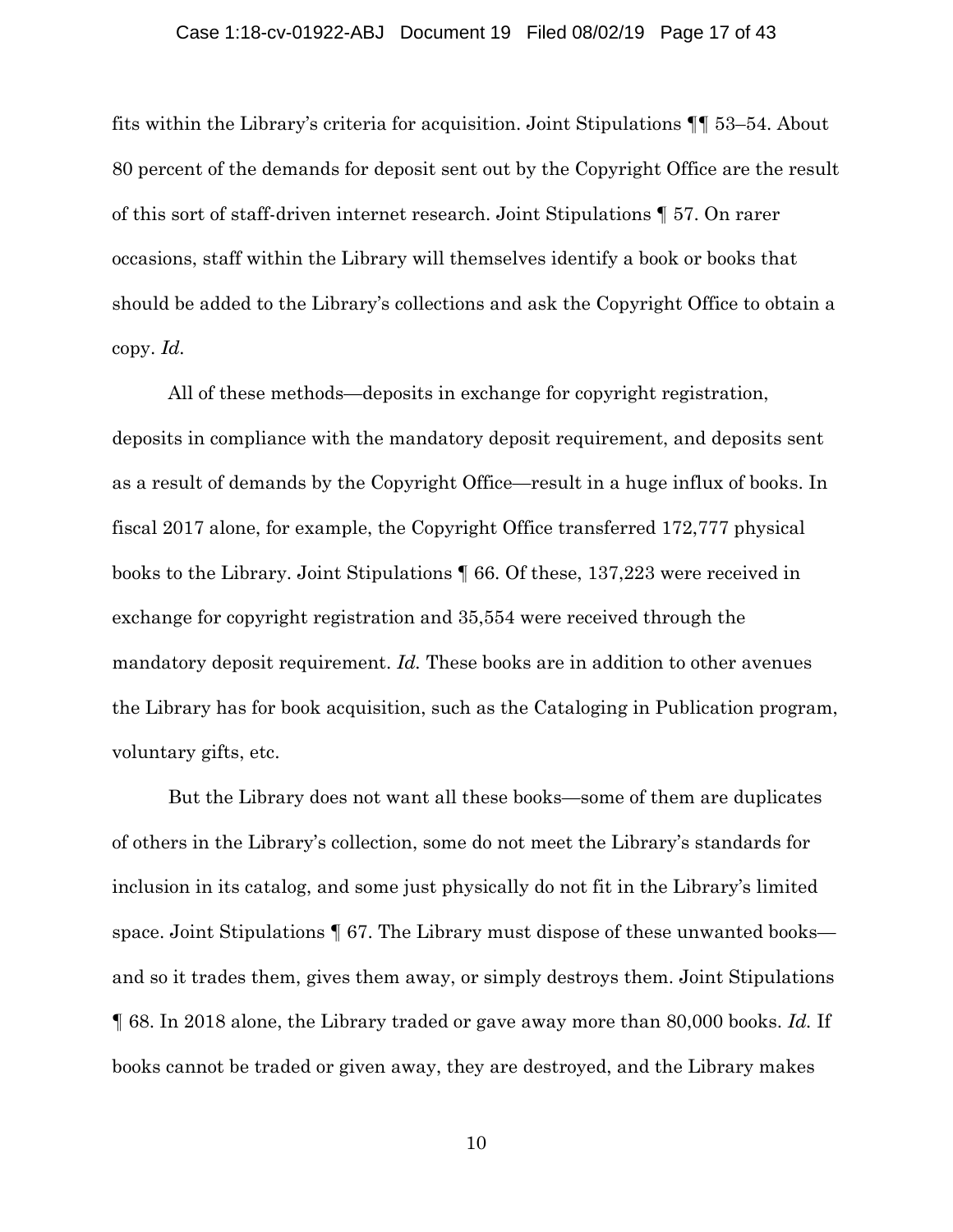#### Case 1:18-cv-01922-ABJ Document 19 Filed 08/02/19 Page 17 of 43

fits within the Library's criteria for acquisition. Joint Stipulations ¶¶ 53–54. About 80 percent of the demands for deposit sent out by the Copyright Office are the result of this sort of staff-driven internet research. Joint Stipulations ¶ 57. On rarer occasions, staff within the Library will themselves identify a book or books that should be added to the Library's collections and ask the Copyright Office to obtain a copy. *Id.* 

All of these methods—deposits in exchange for copyright registration, deposits in compliance with the mandatory deposit requirement, and deposits sent as a result of demands by the Copyright Office—result in a huge influx of books. In fiscal 2017 alone, for example, the Copyright Office transferred 172,777 physical books to the Library. Joint Stipulations ¶ 66. Of these, 137,223 were received in exchange for copyright registration and 35,554 were received through the mandatory deposit requirement. *Id.* These books are in addition to other avenues the Library has for book acquisition, such as the Cataloging in Publication program, voluntary gifts, etc.

But the Library does not want all these books—some of them are duplicates of others in the Library's collection, some do not meet the Library's standards for inclusion in its catalog, and some just physically do not fit in the Library's limited space. Joint Stipulations  $\P$  67. The Library must dispose of these unwanted books and so it trades them, gives them away, or simply destroys them. Joint Stipulations ¶ 68. In 2018 alone, the Library traded or gave away more than 80,000 books. *Id.* If books cannot be traded or given away, they are destroyed, and the Library makes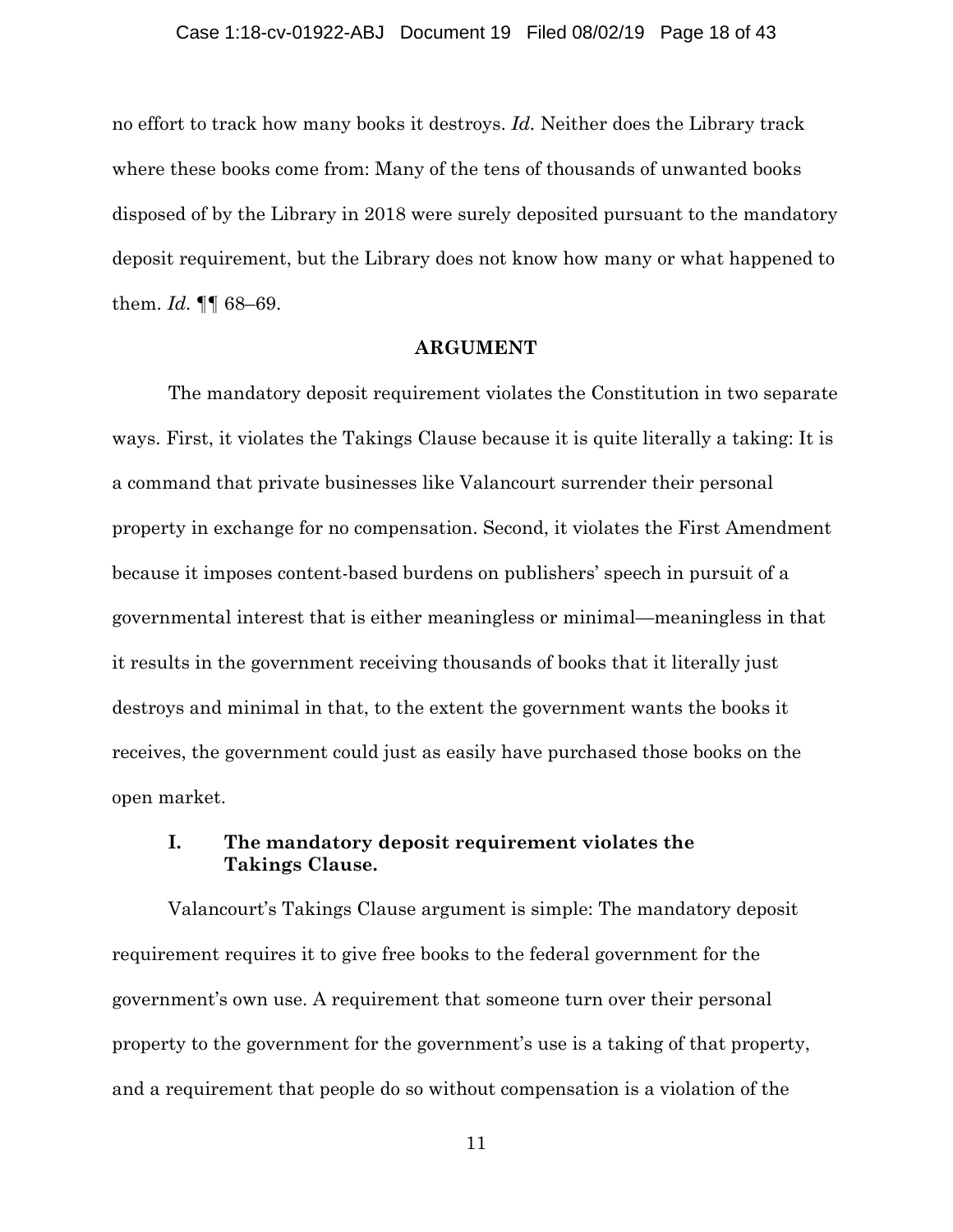no effort to track how many books it destroys. *Id.* Neither does the Library track where these books come from: Many of the tens of thousands of unwanted books disposed of by the Library in 2018 were surely deposited pursuant to the mandatory deposit requirement, but the Library does not know how many or what happened to them. *Id.* ¶¶ 68–69.

#### **ARGUMENT**

The mandatory deposit requirement violates the Constitution in two separate ways. First, it violates the Takings Clause because it is quite literally a taking: It is a command that private businesses like Valancourt surrender their personal property in exchange for no compensation. Second, it violates the First Amendment because it imposes content-based burdens on publishers' speech in pursuit of a governmental interest that is either meaningless or minimal—meaningless in that it results in the government receiving thousands of books that it literally just destroys and minimal in that, to the extent the government wants the books it receives, the government could just as easily have purchased those books on the open market.

## **I. The mandatory deposit requirement violates the Takings Clause.**

Valancourt's Takings Clause argument is simple: The mandatory deposit requirement requires it to give free books to the federal government for the government's own use. A requirement that someone turn over their personal property to the government for the government's use is a taking of that property, and a requirement that people do so without compensation is a violation of the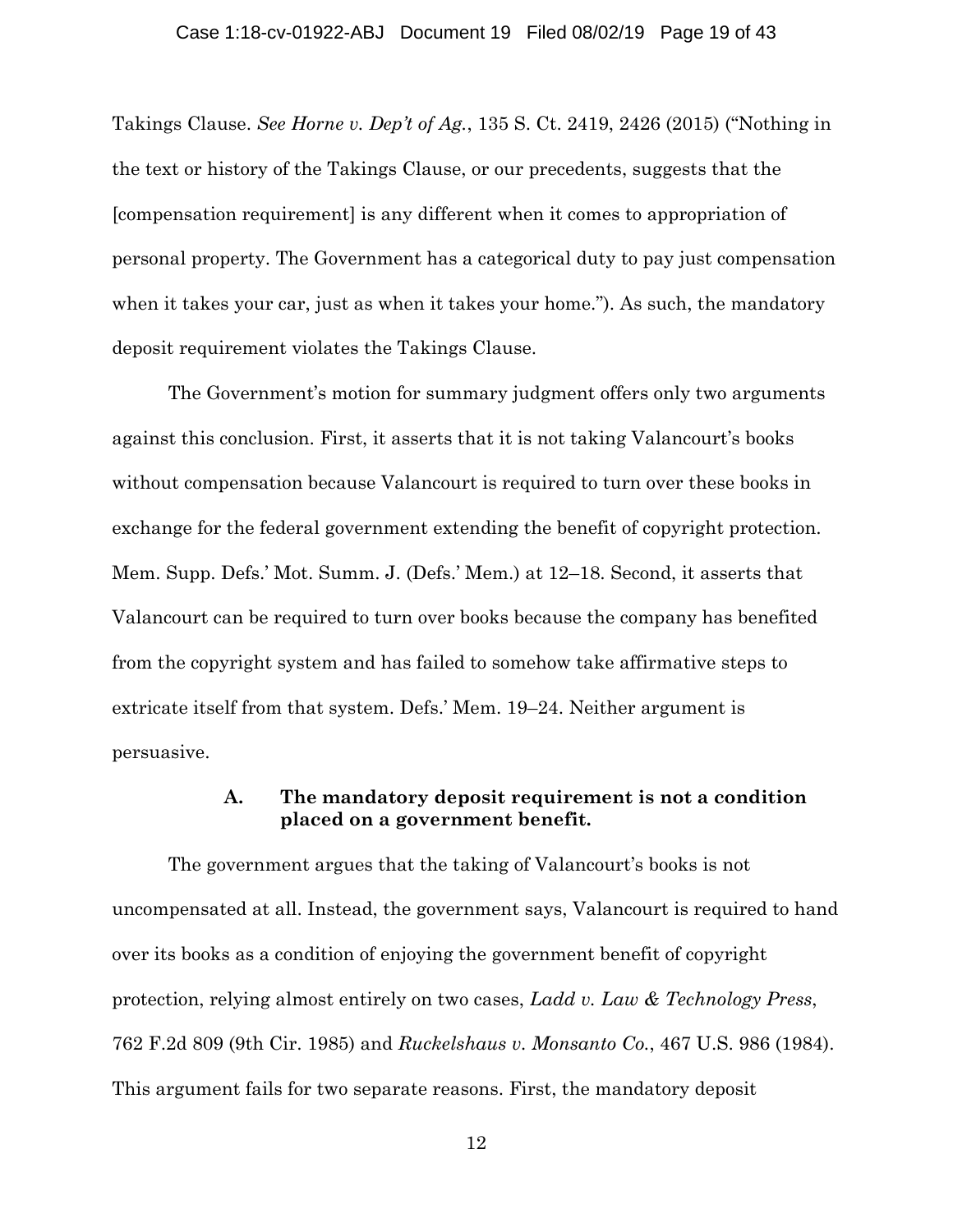#### Case 1:18-cv-01922-ABJ Document 19 Filed 08/02/19 Page 19 of 43

Takings Clause. *See Horne v. Dep't of Ag.*, 135 S. Ct. 2419, 2426 (2015) ("Nothing in the text or history of the Takings Clause, or our precedents, suggests that the [compensation requirement] is any different when it comes to appropriation of personal property. The Government has a categorical duty to pay just compensation when it takes your car, just as when it takes your home."). As such, the mandatory deposit requirement violates the Takings Clause.

The Government's motion for summary judgment offers only two arguments against this conclusion. First, it asserts that it is not taking Valancourt's books without compensation because Valancourt is required to turn over these books in exchange for the federal government extending the benefit of copyright protection. Mem. Supp. Defs.' Mot. Summ. J. (Defs.' Mem.) at 12–18. Second, it asserts that Valancourt can be required to turn over books because the company has benefited from the copyright system and has failed to somehow take affirmative steps to extricate itself from that system. Defs.' Mem. 19–24. Neither argument is persuasive.

## **A. The mandatory deposit requirement is not a condition placed on a government benefit.**

The government argues that the taking of Valancourt's books is not uncompensated at all. Instead, the government says, Valancourt is required to hand over its books as a condition of enjoying the government benefit of copyright protection, relying almost entirely on two cases, *Ladd v. Law & Technology Press*, 762 F.2d 809 (9th Cir. 1985) and *Ruckelshaus v. Monsanto Co.*, 467 U.S. 986 (1984). This argument fails for two separate reasons. First, the mandatory deposit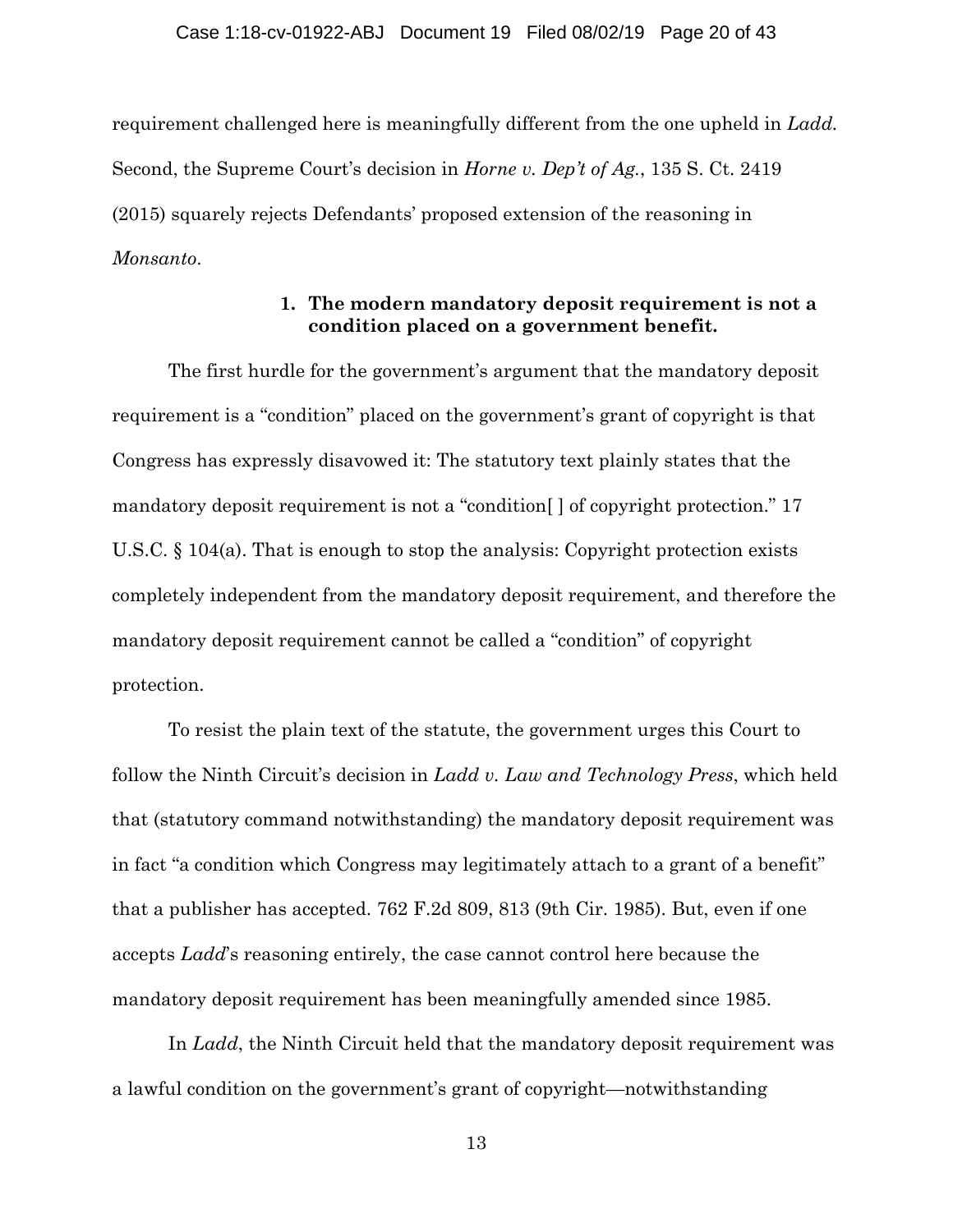#### Case 1:18-cv-01922-ABJ Document 19 Filed 08/02/19 Page 20 of 43

requirement challenged here is meaningfully different from the one upheld in *Ladd.*  Second, the Supreme Court's decision in *Horne v. Dep't of Ag.*, 135 S. Ct. 2419 (2015) squarely rejects Defendants' proposed extension of the reasoning in *Monsanto*.

## **1. The modern mandatory deposit requirement is not a condition placed on a government benefit.**

The first hurdle for the government's argument that the mandatory deposit requirement is a "condition" placed on the government's grant of copyright is that Congress has expressly disavowed it: The statutory text plainly states that the mandatory deposit requirement is not a "condition[ ] of copyright protection." 17 U.S.C. § 104(a). That is enough to stop the analysis: Copyright protection exists completely independent from the mandatory deposit requirement, and therefore the mandatory deposit requirement cannot be called a "condition" of copyright protection.

To resist the plain text of the statute, the government urges this Court to follow the Ninth Circuit's decision in *Ladd v. Law and Technology Press*, which held that (statutory command notwithstanding) the mandatory deposit requirement was in fact "a condition which Congress may legitimately attach to a grant of a benefit" that a publisher has accepted. 762 F.2d 809, 813 (9th Cir. 1985). But, even if one accepts *Ladd*'s reasoning entirely, the case cannot control here because the mandatory deposit requirement has been meaningfully amended since 1985.

In *Ladd*, the Ninth Circuit held that the mandatory deposit requirement was a lawful condition on the government's grant of copyright—notwithstanding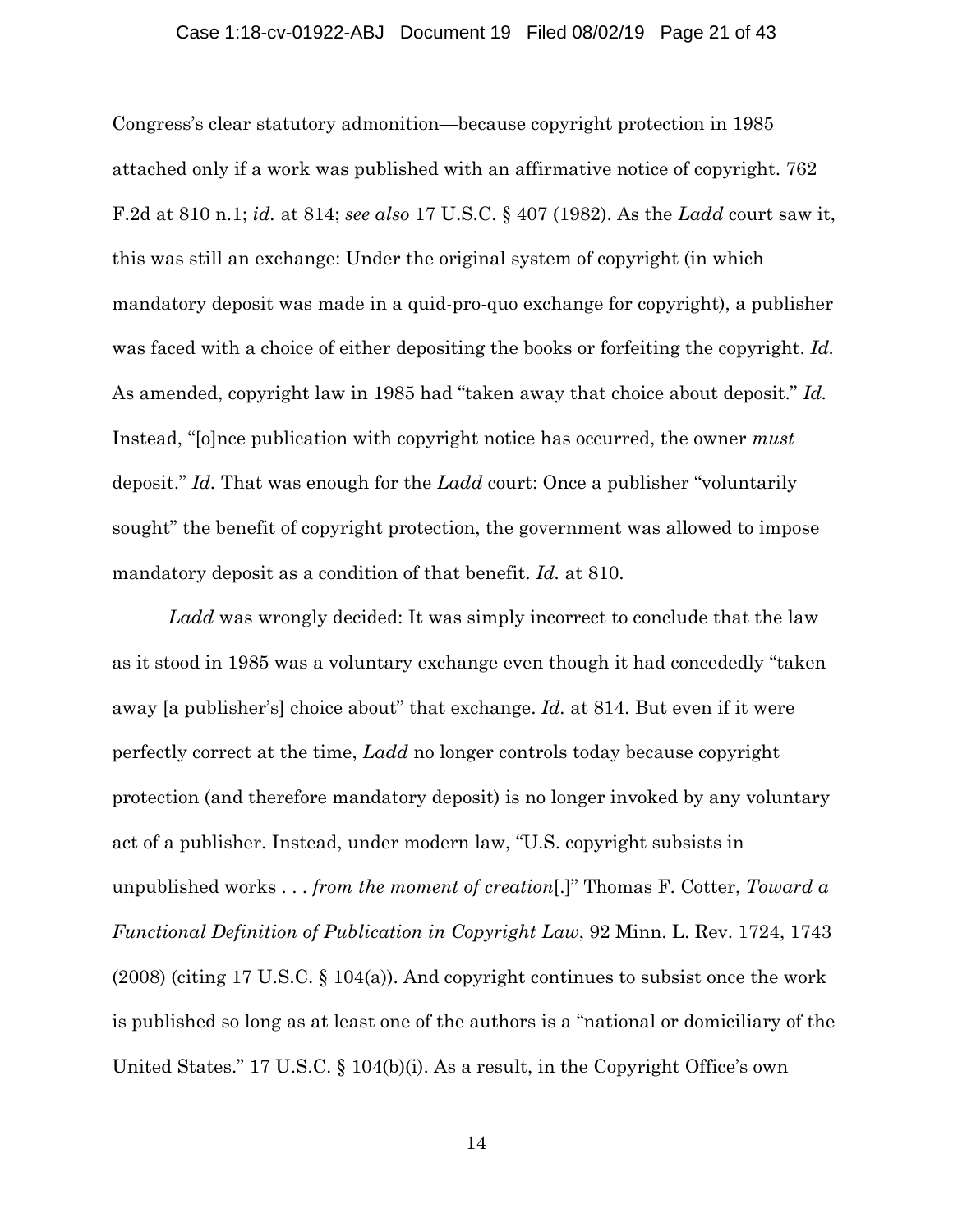#### Case 1:18-cv-01922-ABJ Document 19 Filed 08/02/19 Page 21 of 43

Congress's clear statutory admonition—because copyright protection in 1985 attached only if a work was published with an affirmative notice of copyright. 762 F.2d at 810 n.1; *id.* at 814; *see also* 17 U.S.C. § 407 (1982). As the *Ladd* court saw it, this was still an exchange: Under the original system of copyright (in which mandatory deposit was made in a quid-pro-quo exchange for copyright), a publisher was faced with a choice of either depositing the books or forfeiting the copyright. *Id.*  As amended, copyright law in 1985 had "taken away that choice about deposit." *Id.* Instead, "[o]nce publication with copyright notice has occurred, the owner *must*  deposit." *Id.* That was enough for the *Ladd* court: Once a publisher "voluntarily sought" the benefit of copyright protection, the government was allowed to impose mandatory deposit as a condition of that benefit. *Id.* at 810.

*Ladd* was wrongly decided: It was simply incorrect to conclude that the law as it stood in 1985 was a voluntary exchange even though it had concededly "taken away [a publisher's] choice about" that exchange. *Id.* at 814. But even if it were perfectly correct at the time, *Ladd* no longer controls today because copyright protection (and therefore mandatory deposit) is no longer invoked by any voluntary act of a publisher. Instead, under modern law, "U.S. copyright subsists in unpublished works . . . *from the moment of creation*[.]" Thomas F. Cotter, *Toward a Functional Definition of Publication in Copyright Law*, 92 Minn. L. Rev. 1724, 1743 (2008) (citing 17 U.S.C. § 104(a)). And copyright continues to subsist once the work is published so long as at least one of the authors is a "national or domiciliary of the United States." 17 U.S.C. § 104(b)(i). As a result, in the Copyright Office's own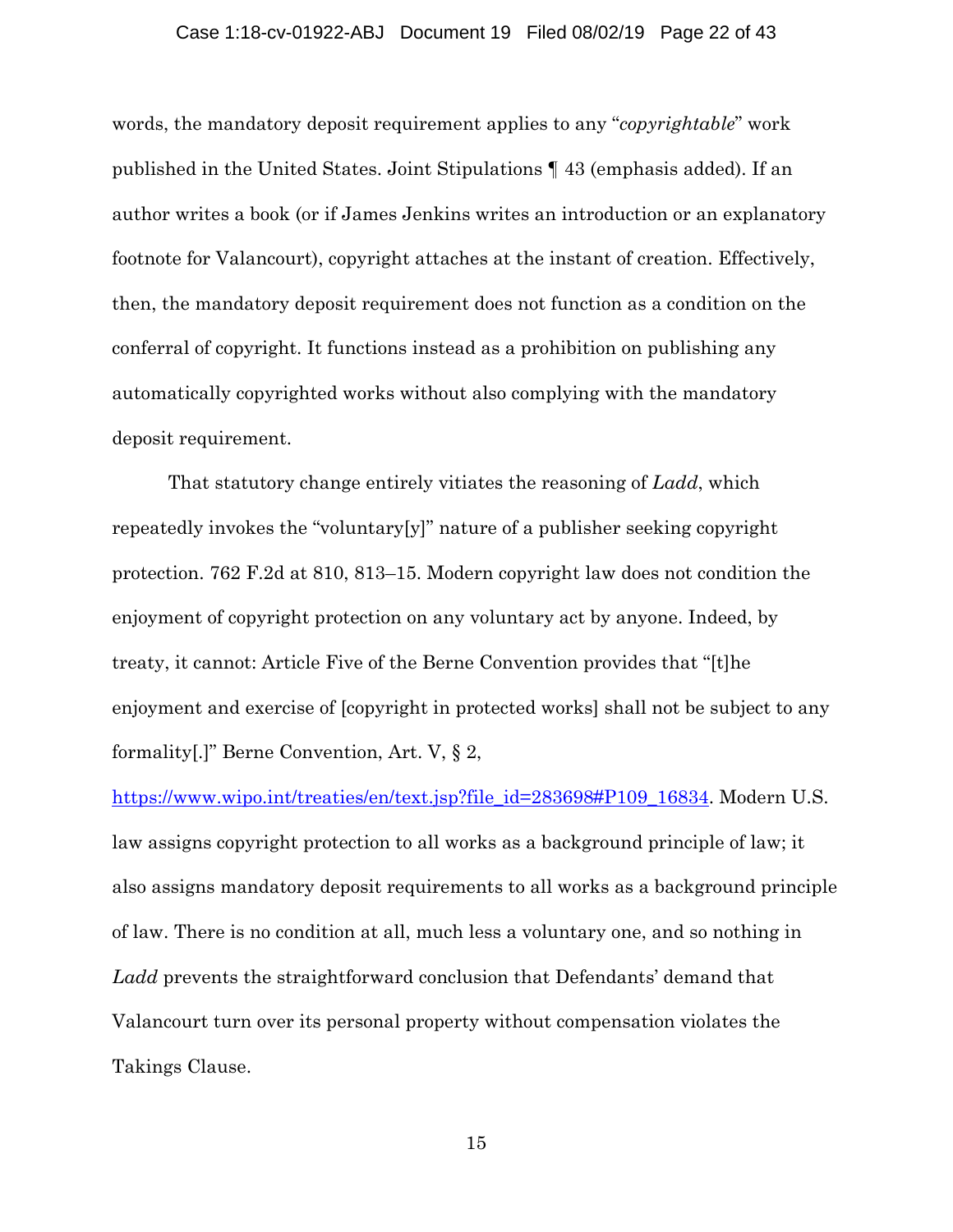#### Case 1:18-cv-01922-ABJ Document 19 Filed 08/02/19 Page 22 of 43

words, the mandatory deposit requirement applies to any "*copyrightable*" work published in the United States. Joint Stipulations ¶ 43 (emphasis added). If an author writes a book (or if James Jenkins writes an introduction or an explanatory footnote for Valancourt), copyright attaches at the instant of creation. Effectively, then, the mandatory deposit requirement does not function as a condition on the conferral of copyright. It functions instead as a prohibition on publishing any automatically copyrighted works without also complying with the mandatory deposit requirement.

That statutory change entirely vitiates the reasoning of *Ladd*, which repeatedly invokes the "voluntary[y]" nature of a publisher seeking copyright protection. 762 F.2d at 810, 813–15. Modern copyright law does not condition the enjoyment of copyright protection on any voluntary act by anyone. Indeed, by treaty, it cannot: Article Five of the Berne Convention provides that "[t]he enjoyment and exercise of [copyright in protected works] shall not be subject to any formality[.]" Berne Convention, Art. V, § 2,

https://www.wipo.int/treaties/en/text.jsp?file\_id=283698#P109\_16834. Modern U.S. law assigns copyright protection to all works as a background principle of law; it also assigns mandatory deposit requirements to all works as a background principle of law. There is no condition at all, much less a voluntary one, and so nothing in *Ladd* prevents the straightforward conclusion that Defendants' demand that Valancourt turn over its personal property without compensation violates the Takings Clause.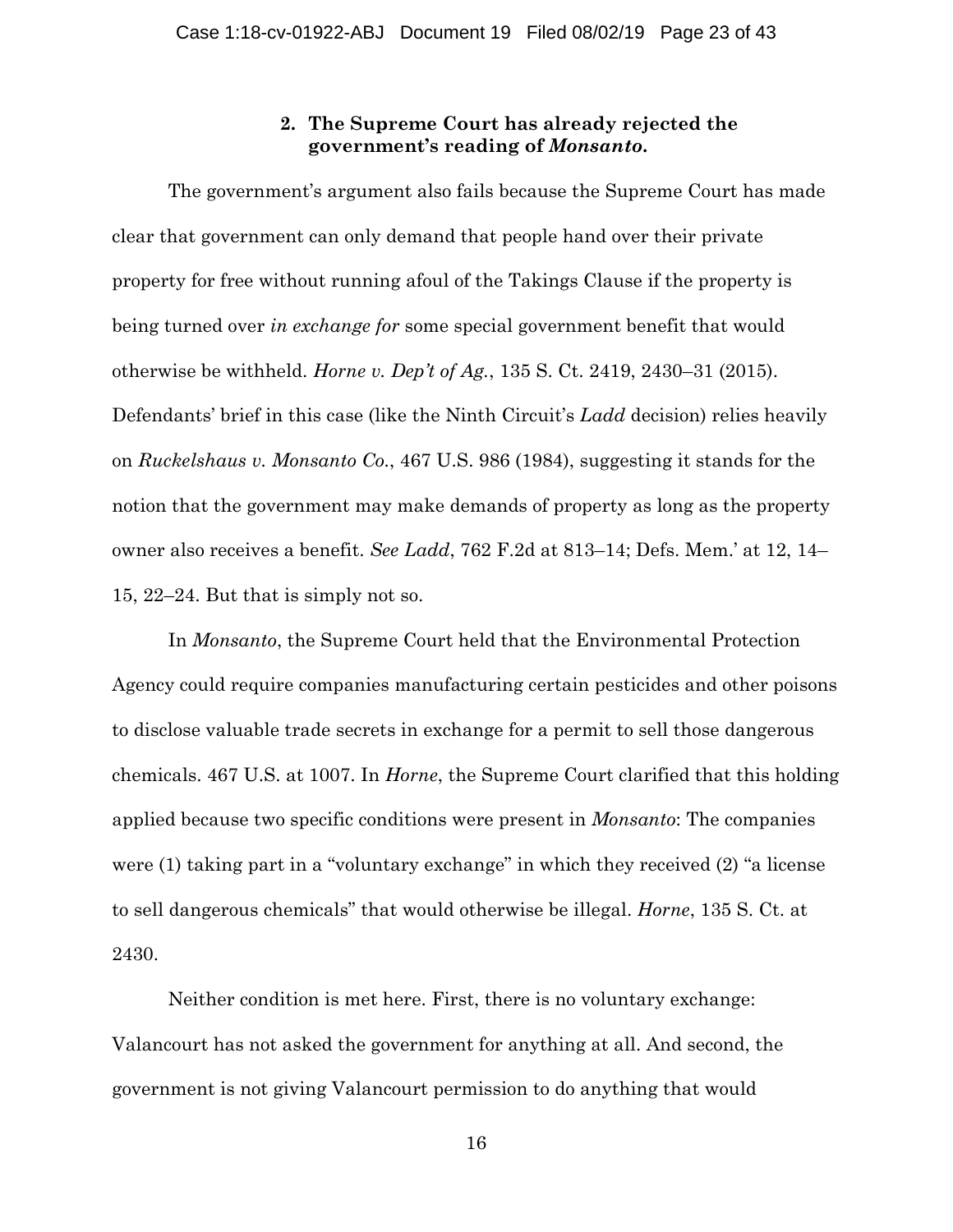## **2. The Supreme Court has already rejected the government's reading of** *Monsanto***.**

The government's argument also fails because the Supreme Court has made clear that government can only demand that people hand over their private property for free without running afoul of the Takings Clause if the property is being turned over *in exchange for* some special government benefit that would otherwise be withheld. *Horne v. Dep't of Ag.*, 135 S. Ct. 2419, 2430–31 (2015). Defendants' brief in this case (like the Ninth Circuit's *Ladd* decision) relies heavily on *Ruckelshaus v. Monsanto Co.*, 467 U.S. 986 (1984), suggesting it stands for the notion that the government may make demands of property as long as the property owner also receives a benefit. *See Ladd*, 762 F.2d at 813–14; Defs. Mem.' at 12, 14– 15, 22–24. But that is simply not so.

In *Monsanto*, the Supreme Court held that the Environmental Protection Agency could require companies manufacturing certain pesticides and other poisons to disclose valuable trade secrets in exchange for a permit to sell those dangerous chemicals. 467 U.S. at 1007. In *Horne*, the Supreme Court clarified that this holding applied because two specific conditions were present in *Monsanto*: The companies were (1) taking part in a "voluntary exchange" in which they received (2) "a license to sell dangerous chemicals" that would otherwise be illegal. *Horne*, 135 S. Ct. at 2430.

Neither condition is met here. First, there is no voluntary exchange: Valancourt has not asked the government for anything at all. And second, the government is not giving Valancourt permission to do anything that would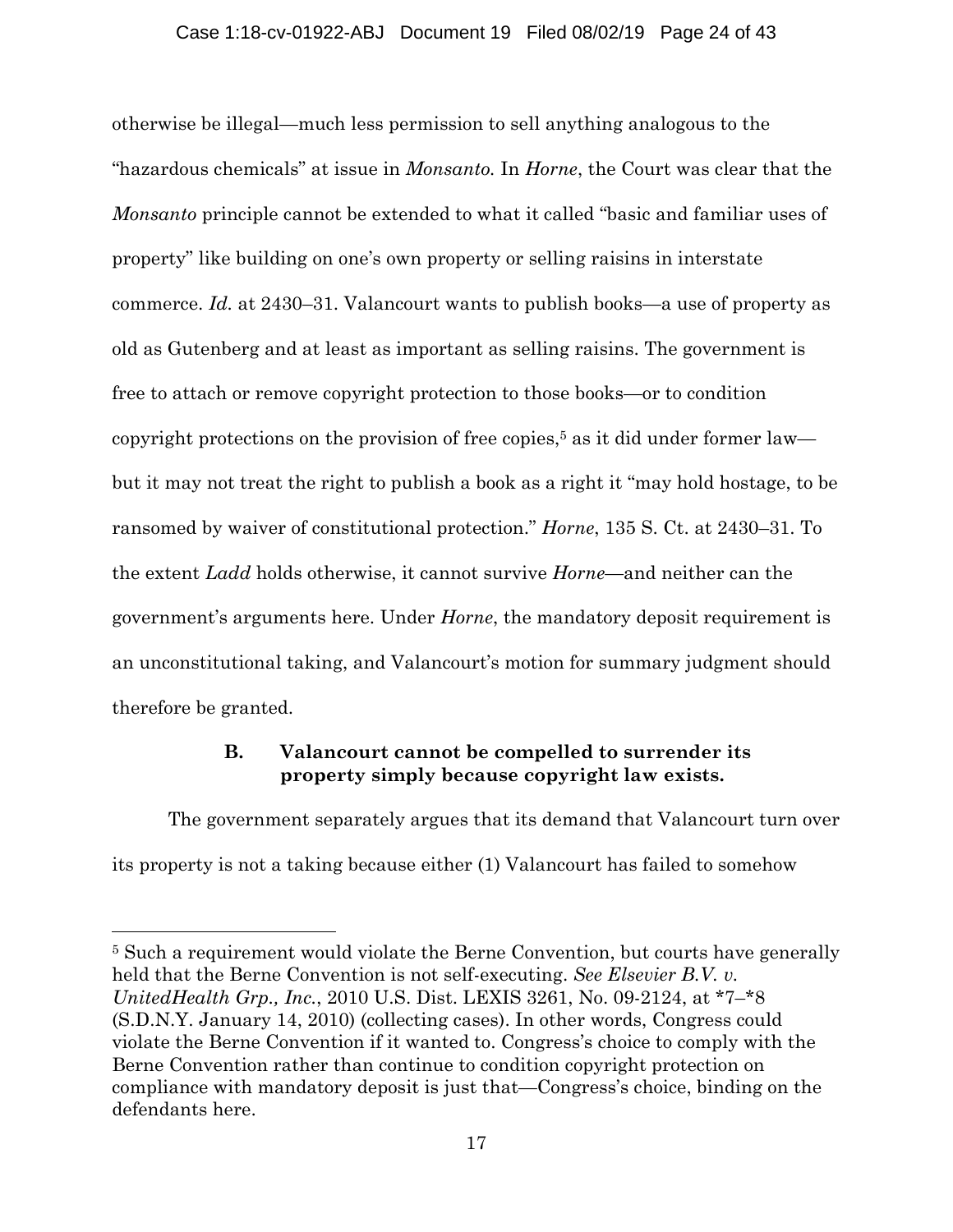### Case 1:18-cv-01922-ABJ Document 19 Filed 08/02/19 Page 24 of 43

otherwise be illegal—much less permission to sell anything analogous to the "hazardous chemicals" at issue in *Monsanto.* In *Horne*, the Court was clear that the *Monsanto* principle cannot be extended to what it called "basic and familiar uses of property" like building on one's own property or selling raisins in interstate commerce. *Id.* at 2430–31. Valancourt wants to publish books—a use of property as old as Gutenberg and at least as important as selling raisins. The government is free to attach or remove copyright protection to those books—or to condition copyright protections on the provision of free copies,<sup>5</sup> as it did under former law but it may not treat the right to publish a book as a right it "may hold hostage, to be ransomed by waiver of constitutional protection." *Horne*, 135 S. Ct. at 2430–31. To the extent *Ladd* holds otherwise, it cannot survive *Horne*—and neither can the government's arguments here. Under *Horne*, the mandatory deposit requirement is an unconstitutional taking, and Valancourt's motion for summary judgment should therefore be granted.

## **B. Valancourt cannot be compelled to surrender its property simply because copyright law exists.**

The government separately argues that its demand that Valancourt turn over its property is not a taking because either (1) Valancourt has failed to somehow

 $\overline{a}$ 

<sup>&</sup>lt;sup>5</sup> Such a requirement would violate the Berne Convention, but courts have generally held that the Berne Convention is not self-executing. *See Elsevier B.V. v. UnitedHealth Grp., Inc.*, 2010 U.S. Dist. LEXIS 3261, No. 09-2124, at \*7–\*8 (S.D.N.Y. January 14, 2010) (collecting cases). In other words, Congress could violate the Berne Convention if it wanted to. Congress's choice to comply with the Berne Convention rather than continue to condition copyright protection on compliance with mandatory deposit is just that—Congress's choice, binding on the defendants here.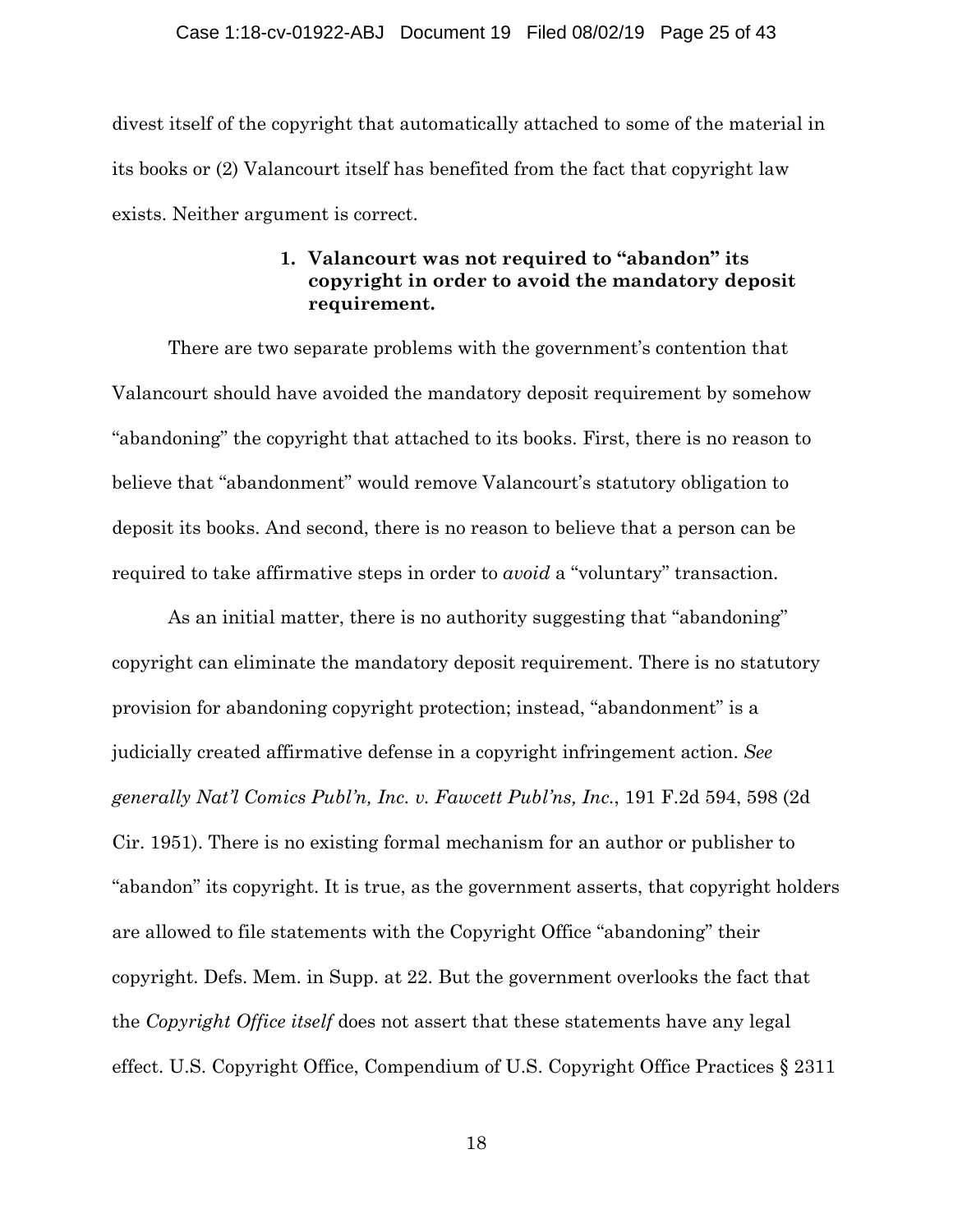divest itself of the copyright that automatically attached to some of the material in its books or (2) Valancourt itself has benefited from the fact that copyright law exists. Neither argument is correct.

## **1. Valancourt was not required to "abandon" its copyright in order to avoid the mandatory deposit requirement.**

There are two separate problems with the government's contention that Valancourt should have avoided the mandatory deposit requirement by somehow "abandoning" the copyright that attached to its books. First, there is no reason to believe that "abandonment" would remove Valancourt's statutory obligation to deposit its books. And second, there is no reason to believe that a person can be required to take affirmative steps in order to *avoid* a "voluntary" transaction.

As an initial matter, there is no authority suggesting that "abandoning" copyright can eliminate the mandatory deposit requirement. There is no statutory provision for abandoning copyright protection; instead, "abandonment" is a judicially created affirmative defense in a copyright infringement action. *See generally Nat'l Comics Publ'n, Inc. v. Fawcett Publ'ns, Inc.*, 191 F.2d 594, 598 (2d Cir. 1951). There is no existing formal mechanism for an author or publisher to "abandon" its copyright. It is true, as the government asserts, that copyright holders are allowed to file statements with the Copyright Office "abandoning" their copyright. Defs. Mem. in Supp. at 22. But the government overlooks the fact that the *Copyright Office itself* does not assert that these statements have any legal effect. U.S. Copyright Office, Compendium of U.S. Copyright Office Practices § 2311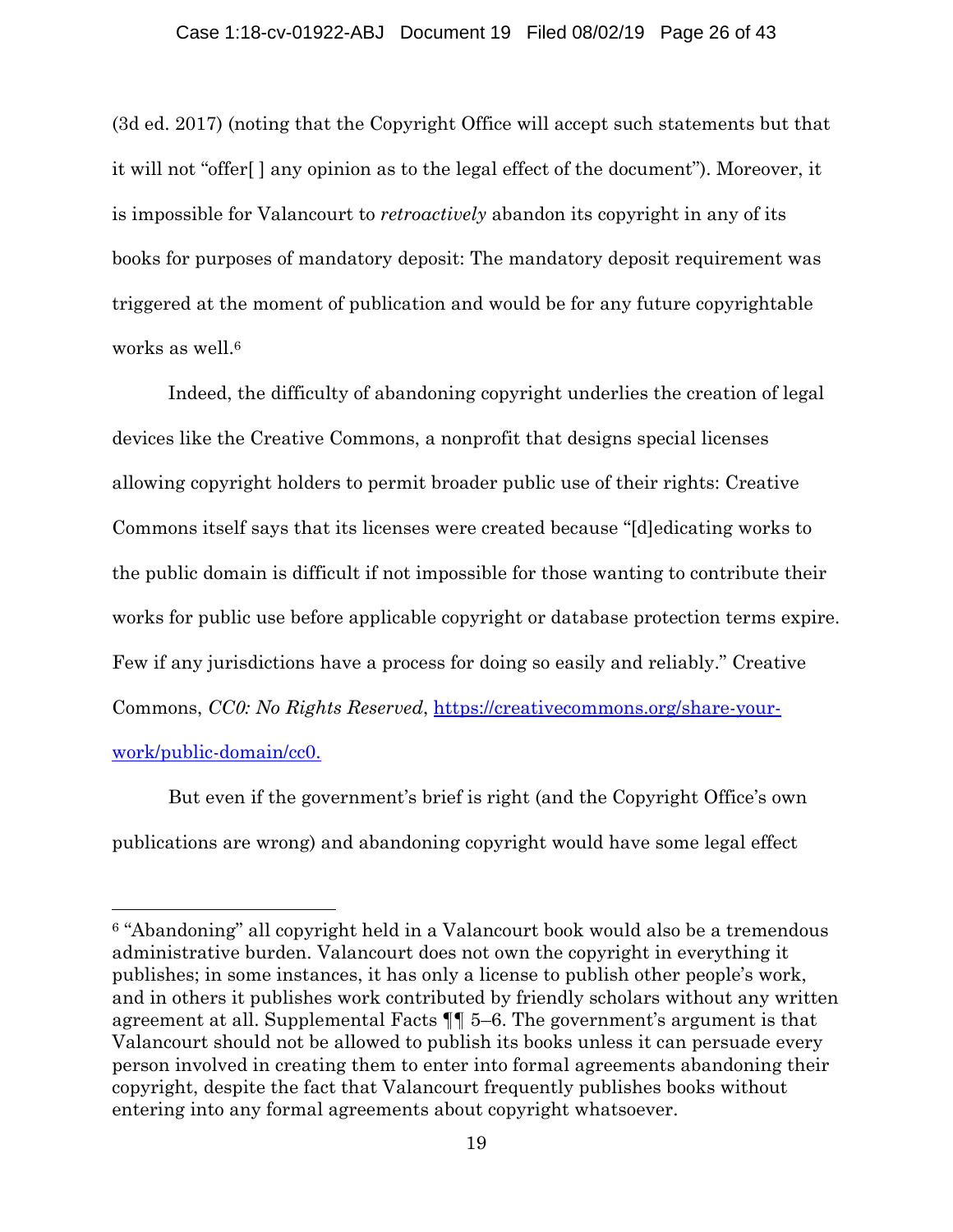#### Case 1:18-cv-01922-ABJ Document 19 Filed 08/02/19 Page 26 of 43

(3d ed. 2017) (noting that the Copyright Office will accept such statements but that it will not "offer[ ] any opinion as to the legal effect of the document"). Moreover, it is impossible for Valancourt to *retroactively* abandon its copyright in any of its books for purposes of mandatory deposit: The mandatory deposit requirement was triggered at the moment of publication and would be for any future copyrightable works as well.<sup>6</sup>

Indeed, the difficulty of abandoning copyright underlies the creation of legal devices like the Creative Commons, a nonprofit that designs special licenses allowing copyright holders to permit broader public use of their rights: Creative Commons itself says that its licenses were created because "[d]edicating works to the public domain is difficult if not impossible for those wanting to contribute their works for public use before applicable copyright or database protection terms expire. Few if any jurisdictions have a process for doing so easily and reliably." Creative Commons, *CC0: No Rights Reserved*, https://creativecommons.org/share-yourwork/public-domain/cc0.

But even if the government's brief is right (and the Copyright Office's own publications are wrong) and abandoning copyright would have some legal effect

 $\overline{a}$ 

<sup>6 &</sup>quot;Abandoning" all copyright held in a Valancourt book would also be a tremendous administrative burden. Valancourt does not own the copyright in everything it publishes; in some instances, it has only a license to publish other people's work, and in others it publishes work contributed by friendly scholars without any written agreement at all. Supplemental Facts ¶¶ 5–6. The government's argument is that Valancourt should not be allowed to publish its books unless it can persuade every person involved in creating them to enter into formal agreements abandoning their copyright, despite the fact that Valancourt frequently publishes books without entering into any formal agreements about copyright whatsoever.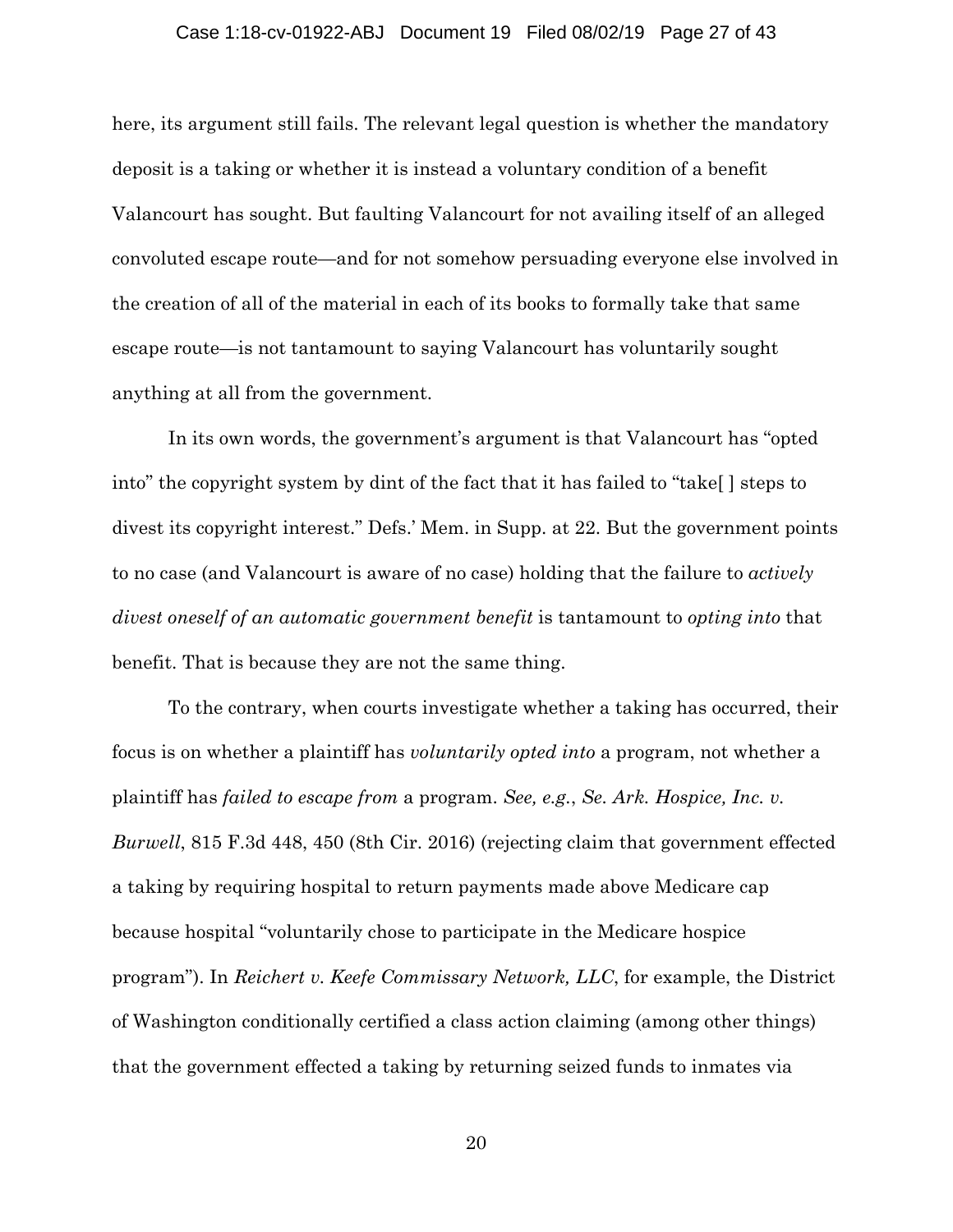#### Case 1:18-cv-01922-ABJ Document 19 Filed 08/02/19 Page 27 of 43

here, its argument still fails. The relevant legal question is whether the mandatory deposit is a taking or whether it is instead a voluntary condition of a benefit Valancourt has sought. But faulting Valancourt for not availing itself of an alleged convoluted escape route—and for not somehow persuading everyone else involved in the creation of all of the material in each of its books to formally take that same escape route—is not tantamount to saying Valancourt has voluntarily sought anything at all from the government.

In its own words, the government's argument is that Valancourt has "opted into" the copyright system by dint of the fact that it has failed to "take[ ] steps to divest its copyright interest." Defs.' Mem. in Supp. at 22. But the government points to no case (and Valancourt is aware of no case) holding that the failure to *actively divest oneself of an automatic government benefit* is tantamount to *opting into* that benefit. That is because they are not the same thing.

To the contrary, when courts investigate whether a taking has occurred, their focus is on whether a plaintiff has *voluntarily opted into* a program, not whether a plaintiff has *failed to escape from* a program. *See, e.g.*, *Se. Ark. Hospice, Inc. v. Burwell*, 815 F.3d 448, 450 (8th Cir. 2016) (rejecting claim that government effected a taking by requiring hospital to return payments made above Medicare cap because hospital "voluntarily chose to participate in the Medicare hospice program"). In *Reichert v. Keefe Commissary Network, LLC*, for example, the District of Washington conditionally certified a class action claiming (among other things) that the government effected a taking by returning seized funds to inmates via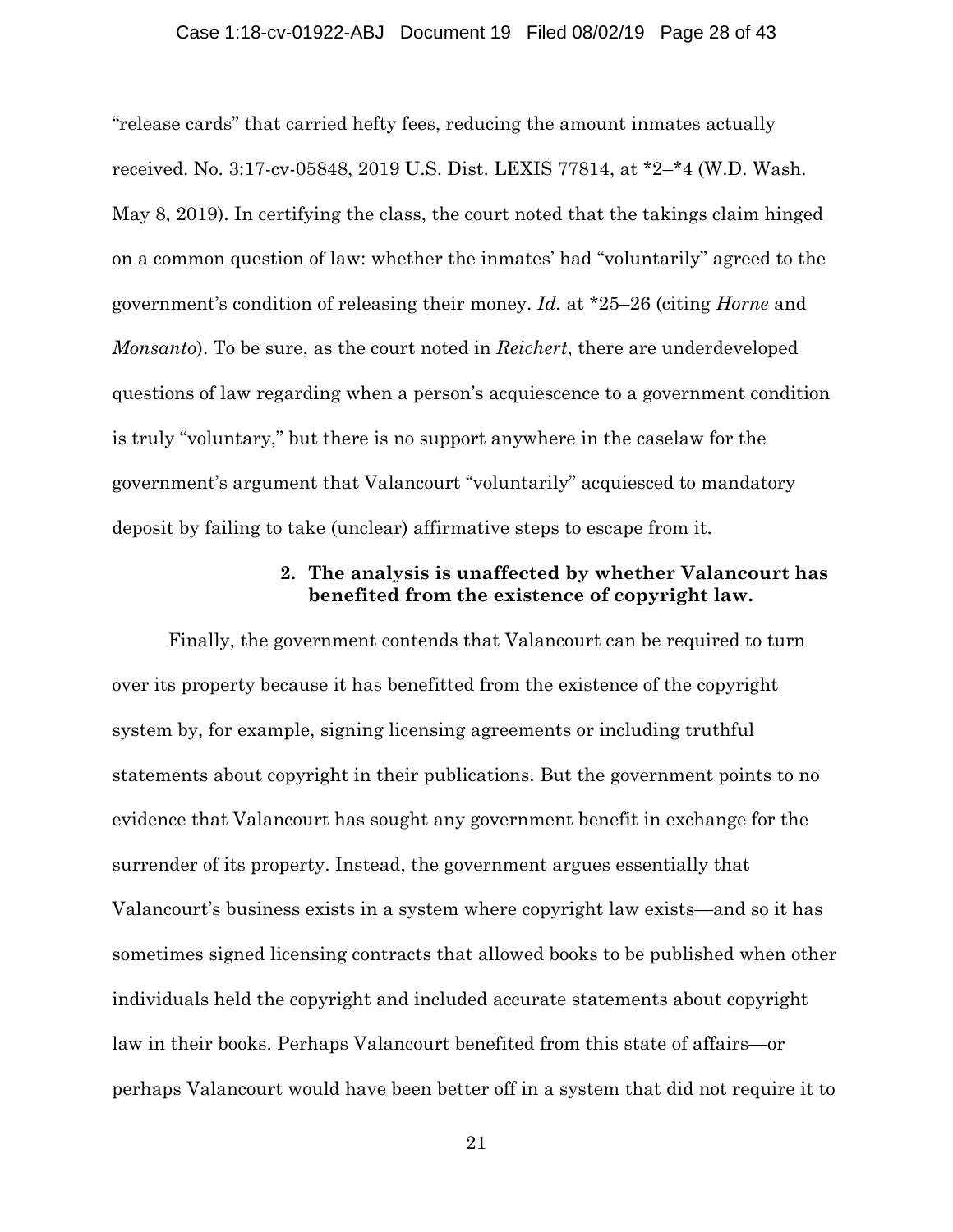#### Case 1:18-cv-01922-ABJ Document 19 Filed 08/02/19 Page 28 of 43

"release cards" that carried hefty fees, reducing the amount inmates actually received. No. 3:17-cv-05848, 2019 U.S. Dist. LEXIS 77814, at \*2–\*4 (W.D. Wash. May 8, 2019). In certifying the class, the court noted that the takings claim hinged on a common question of law: whether the inmates' had "voluntarily" agreed to the government's condition of releasing their money. *Id.* at \*25–26 (citing *Horne* and *Monsanto*). To be sure, as the court noted in *Reichert*, there are underdeveloped questions of law regarding when a person's acquiescence to a government condition is truly "voluntary," but there is no support anywhere in the caselaw for the government's argument that Valancourt "voluntarily" acquiesced to mandatory deposit by failing to take (unclear) affirmative steps to escape from it.

## **2. The analysis is unaffected by whether Valancourt has benefited from the existence of copyright law.**

Finally, the government contends that Valancourt can be required to turn over its property because it has benefitted from the existence of the copyright system by, for example, signing licensing agreements or including truthful statements about copyright in their publications. But the government points to no evidence that Valancourt has sought any government benefit in exchange for the surrender of its property. Instead, the government argues essentially that Valancourt's business exists in a system where copyright law exists—and so it has sometimes signed licensing contracts that allowed books to be published when other individuals held the copyright and included accurate statements about copyright law in their books. Perhaps Valancourt benefited from this state of affairs—or perhaps Valancourt would have been better off in a system that did not require it to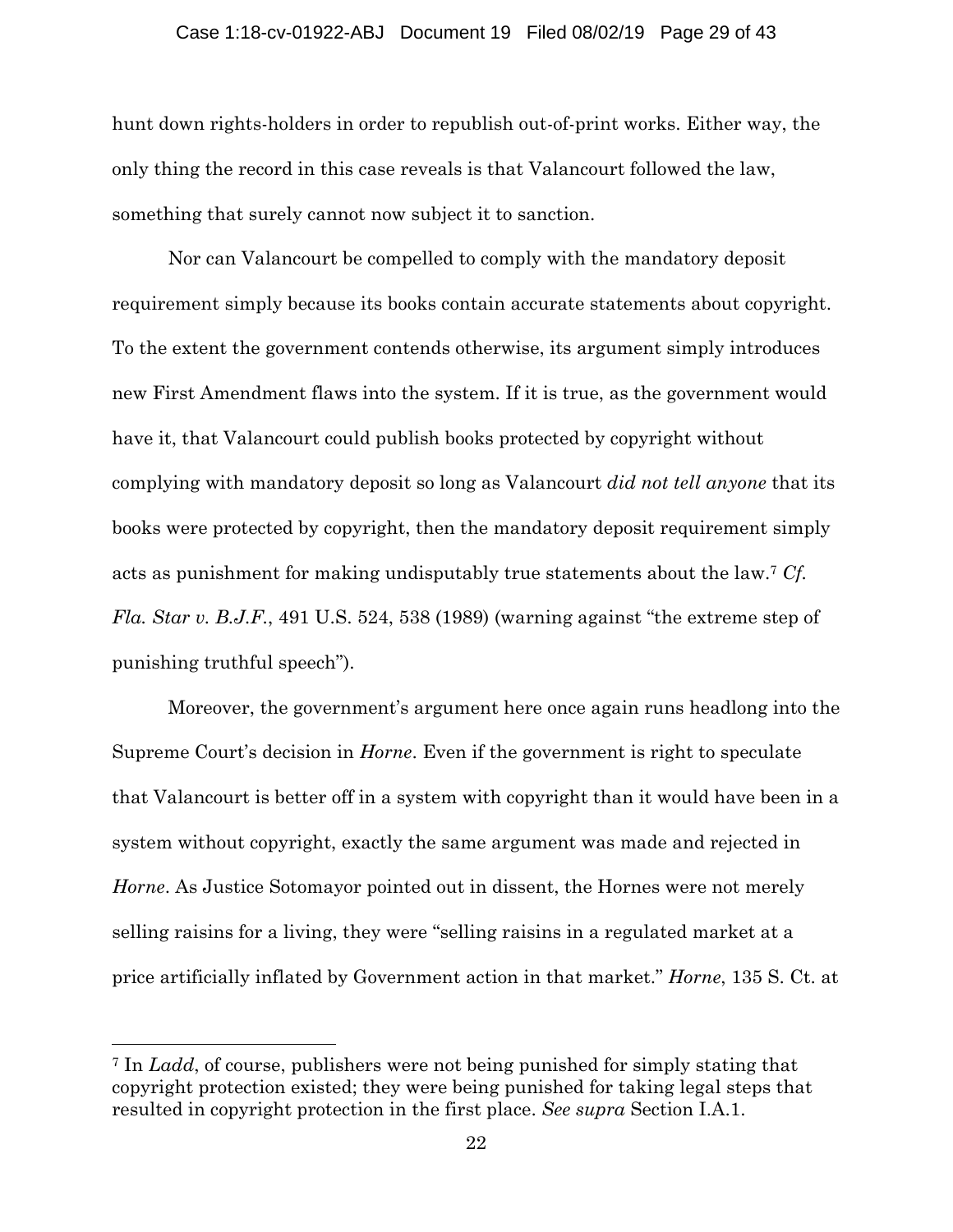#### Case 1:18-cv-01922-ABJ Document 19 Filed 08/02/19 Page 29 of 43

hunt down rights-holders in order to republish out-of-print works. Either way, the only thing the record in this case reveals is that Valancourt followed the law, something that surely cannot now subject it to sanction.

Nor can Valancourt be compelled to comply with the mandatory deposit requirement simply because its books contain accurate statements about copyright. To the extent the government contends otherwise, its argument simply introduces new First Amendment flaws into the system. If it is true, as the government would have it, that Valancourt could publish books protected by copyright without complying with mandatory deposit so long as Valancourt *did not tell anyone* that its books were protected by copyright, then the mandatory deposit requirement simply acts as punishment for making undisputably true statements about the law.7 *Cf. Fla. Star v. B.J.F.*, 491 U.S. 524, 538 (1989) (warning against "the extreme step of punishing truthful speech").

Moreover, the government's argument here once again runs headlong into the Supreme Court's decision in *Horne*. Even if the government is right to speculate that Valancourt is better off in a system with copyright than it would have been in a system without copyright, exactly the same argument was made and rejected in *Horne*. As Justice Sotomayor pointed out in dissent, the Hornes were not merely selling raisins for a living, they were "selling raisins in a regulated market at a price artificially inflated by Government action in that market." *Horne*, 135 S. Ct. at

<sup>7</sup> In *Ladd*, of course, publishers were not being punished for simply stating that copyright protection existed; they were being punished for taking legal steps that resulted in copyright protection in the first place. *See supra* Section I.A.1.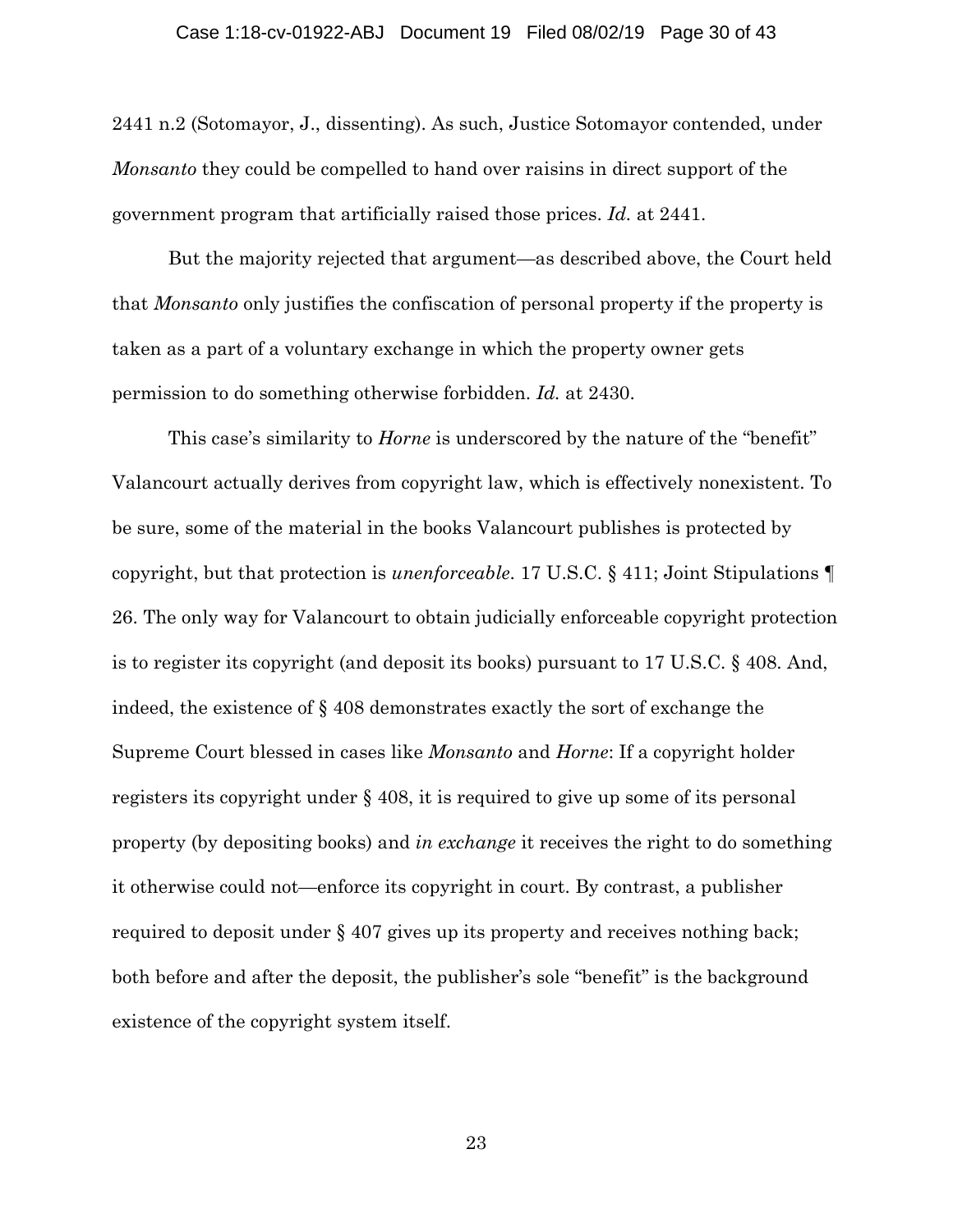2441 n.2 (Sotomayor, J., dissenting). As such, Justice Sotomayor contended, under *Monsanto* they could be compelled to hand over raisins in direct support of the government program that artificially raised those prices. *Id.* at 2441.

But the majority rejected that argument—as described above, the Court held that *Monsanto* only justifies the confiscation of personal property if the property is taken as a part of a voluntary exchange in which the property owner gets permission to do something otherwise forbidden. *Id.* at 2430.

This case's similarity to *Horne* is underscored by the nature of the "benefit" Valancourt actually derives from copyright law, which is effectively nonexistent. To be sure, some of the material in the books Valancourt publishes is protected by copyright, but that protection is *unenforceable*. 17 U.S.C. § 411; Joint Stipulations ¶ 26. The only way for Valancourt to obtain judicially enforceable copyright protection is to register its copyright (and deposit its books) pursuant to 17 U.S.C. § 408. And, indeed, the existence of § 408 demonstrates exactly the sort of exchange the Supreme Court blessed in cases like *Monsanto* and *Horne*: If a copyright holder registers its copyright under § 408, it is required to give up some of its personal property (by depositing books) and *in exchange* it receives the right to do something it otherwise could not—enforce its copyright in court. By contrast, a publisher required to deposit under § 407 gives up its property and receives nothing back; both before and after the deposit, the publisher's sole "benefit" is the background existence of the copyright system itself.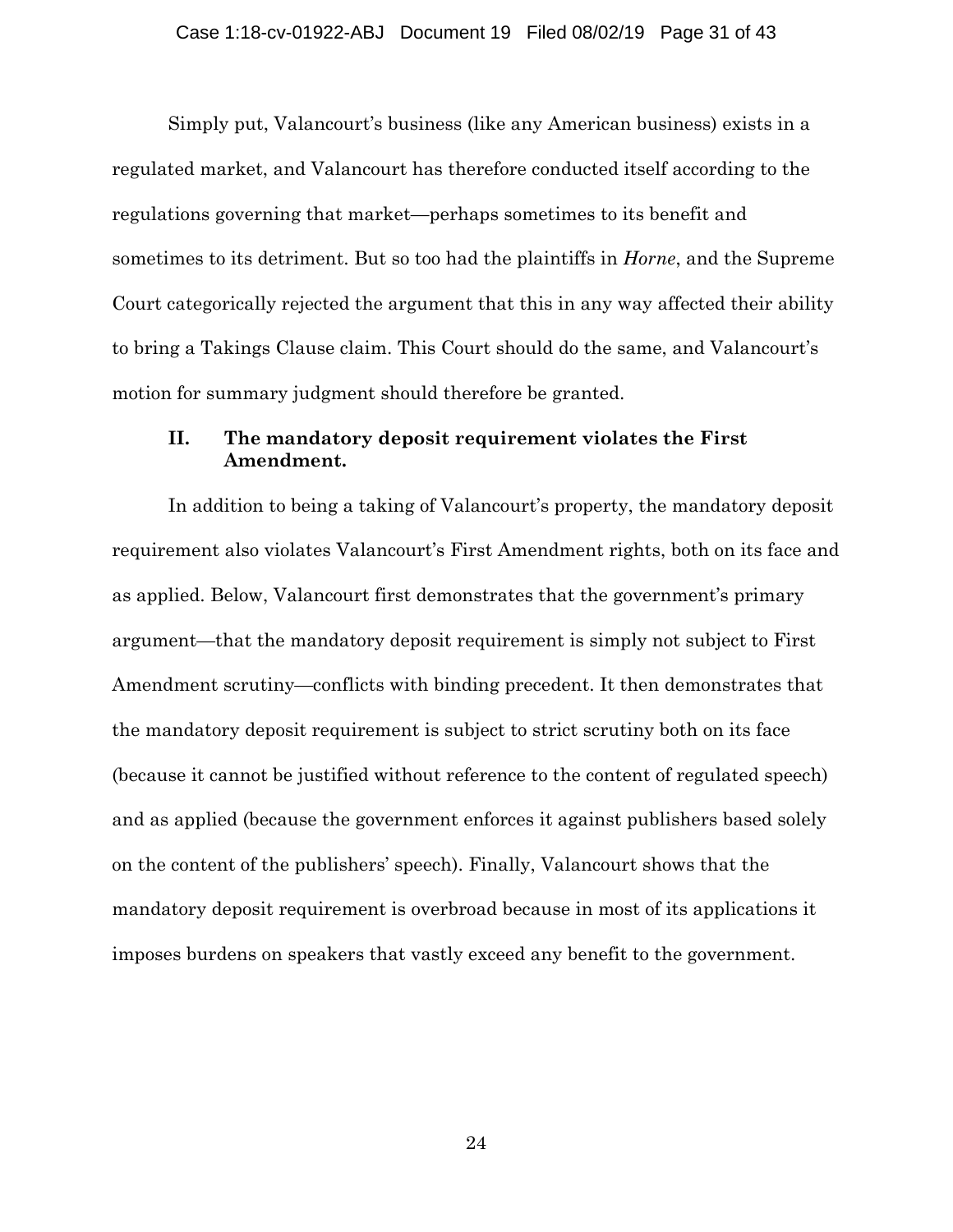Simply put, Valancourt's business (like any American business) exists in a regulated market, and Valancourt has therefore conducted itself according to the regulations governing that market—perhaps sometimes to its benefit and sometimes to its detriment. But so too had the plaintiffs in *Horne*, and the Supreme Court categorically rejected the argument that this in any way affected their ability to bring a Takings Clause claim. This Court should do the same, and Valancourt's motion for summary judgment should therefore be granted.

## **II. The mandatory deposit requirement violates the First Amendment.**

In addition to being a taking of Valancourt's property, the mandatory deposit requirement also violates Valancourt's First Amendment rights, both on its face and as applied. Below, Valancourt first demonstrates that the government's primary argument—that the mandatory deposit requirement is simply not subject to First Amendment scrutiny—conflicts with binding precedent. It then demonstrates that the mandatory deposit requirement is subject to strict scrutiny both on its face (because it cannot be justified without reference to the content of regulated speech) and as applied (because the government enforces it against publishers based solely on the content of the publishers' speech). Finally, Valancourt shows that the mandatory deposit requirement is overbroad because in most of its applications it imposes burdens on speakers that vastly exceed any benefit to the government.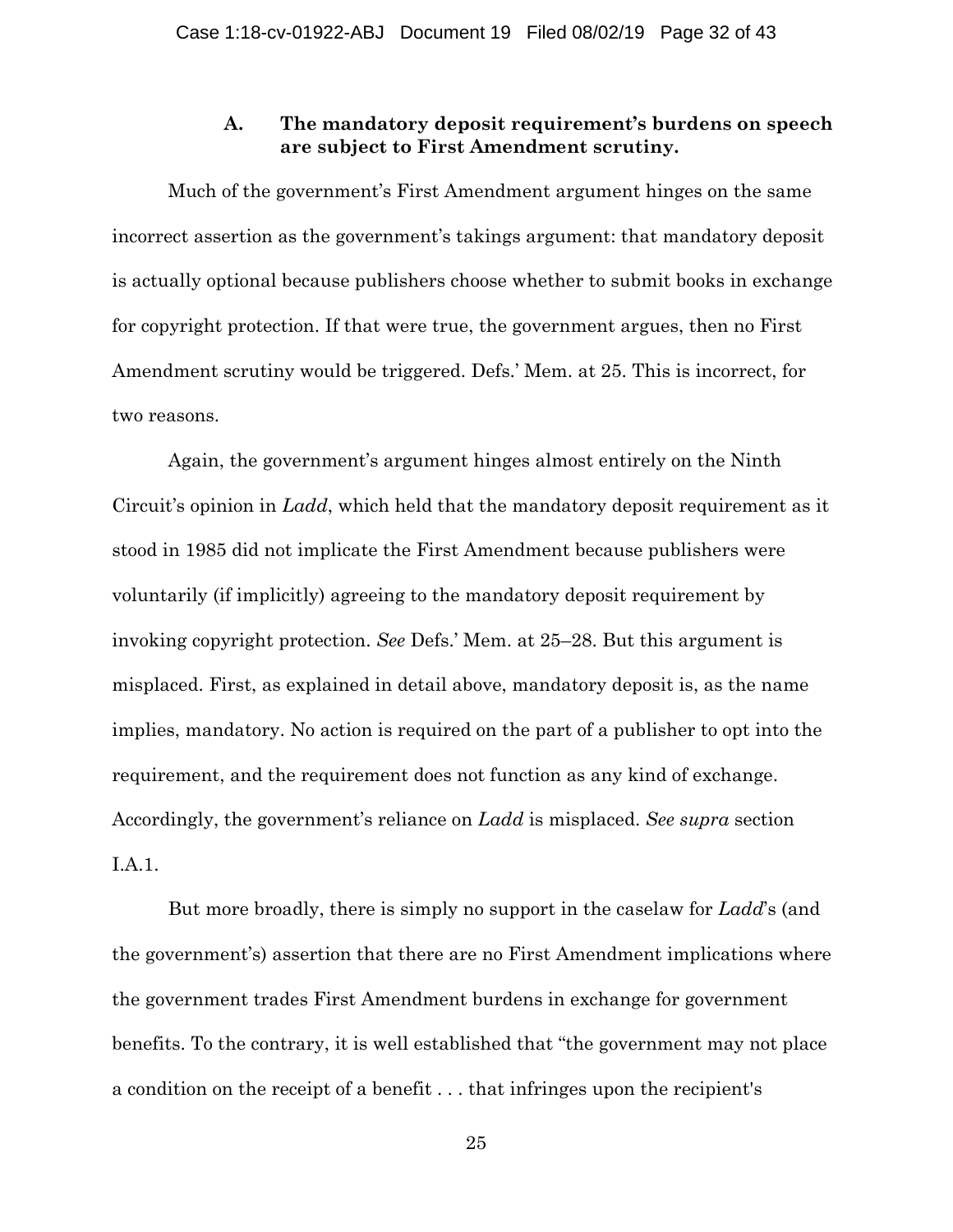## **A. The mandatory deposit requirement's burdens on speech are subject to First Amendment scrutiny.**

Much of the government's First Amendment argument hinges on the same incorrect assertion as the government's takings argument: that mandatory deposit is actually optional because publishers choose whether to submit books in exchange for copyright protection. If that were true, the government argues, then no First Amendment scrutiny would be triggered. Defs.' Mem. at 25. This is incorrect, for two reasons.

Again, the government's argument hinges almost entirely on the Ninth Circuit's opinion in *Ladd*, which held that the mandatory deposit requirement as it stood in 1985 did not implicate the First Amendment because publishers were voluntarily (if implicitly) agreeing to the mandatory deposit requirement by invoking copyright protection. *See* Defs.' Mem. at 25–28. But this argument is misplaced. First, as explained in detail above, mandatory deposit is, as the name implies, mandatory. No action is required on the part of a publisher to opt into the requirement, and the requirement does not function as any kind of exchange. Accordingly, the government's reliance on *Ladd* is misplaced. *See supra* section I.A.1.

But more broadly, there is simply no support in the caselaw for *Ladd*'s (and the government's) assertion that there are no First Amendment implications where the government trades First Amendment burdens in exchange for government benefits. To the contrary, it is well established that "the government may not place a condition on the receipt of a benefit . . . that infringes upon the recipient's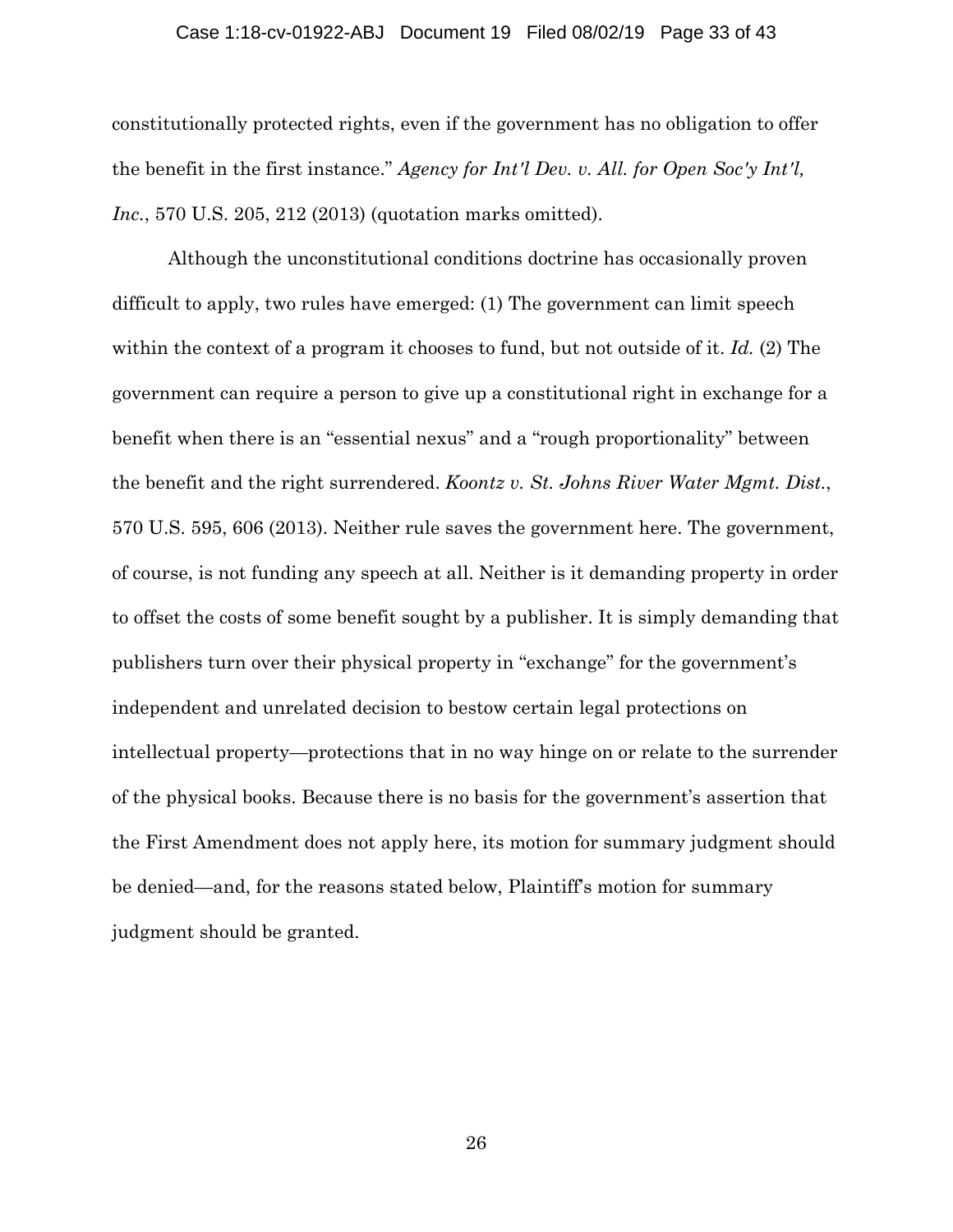#### Case 1:18-cv-01922-ABJ Document 19 Filed 08/02/19 Page 33 of 43

constitutionally protected rights, even if the government has no obligation to offer the benefit in the first instance." *Agency for Int'l Dev. v. All. for Open Soc'y Int'l, Inc.*, 570 U.S. 205, 212 (2013) (quotation marks omitted).

Although the unconstitutional conditions doctrine has occasionally proven difficult to apply, two rules have emerged: (1) The government can limit speech within the context of a program it chooses to fund, but not outside of it. *Id.* (2) The government can require a person to give up a constitutional right in exchange for a benefit when there is an "essential nexus" and a "rough proportionality" between the benefit and the right surrendered. *Koontz v. St. Johns River Water Mgmt. Dist.*, 570 U.S. 595, 606 (2013). Neither rule saves the government here. The government, of course, is not funding any speech at all. Neither is it demanding property in order to offset the costs of some benefit sought by a publisher. It is simply demanding that publishers turn over their physical property in "exchange" for the government's independent and unrelated decision to bestow certain legal protections on intellectual property—protections that in no way hinge on or relate to the surrender of the physical books. Because there is no basis for the government's assertion that the First Amendment does not apply here, its motion for summary judgment should be denied—and, for the reasons stated below, Plaintiff's motion for summary judgment should be granted.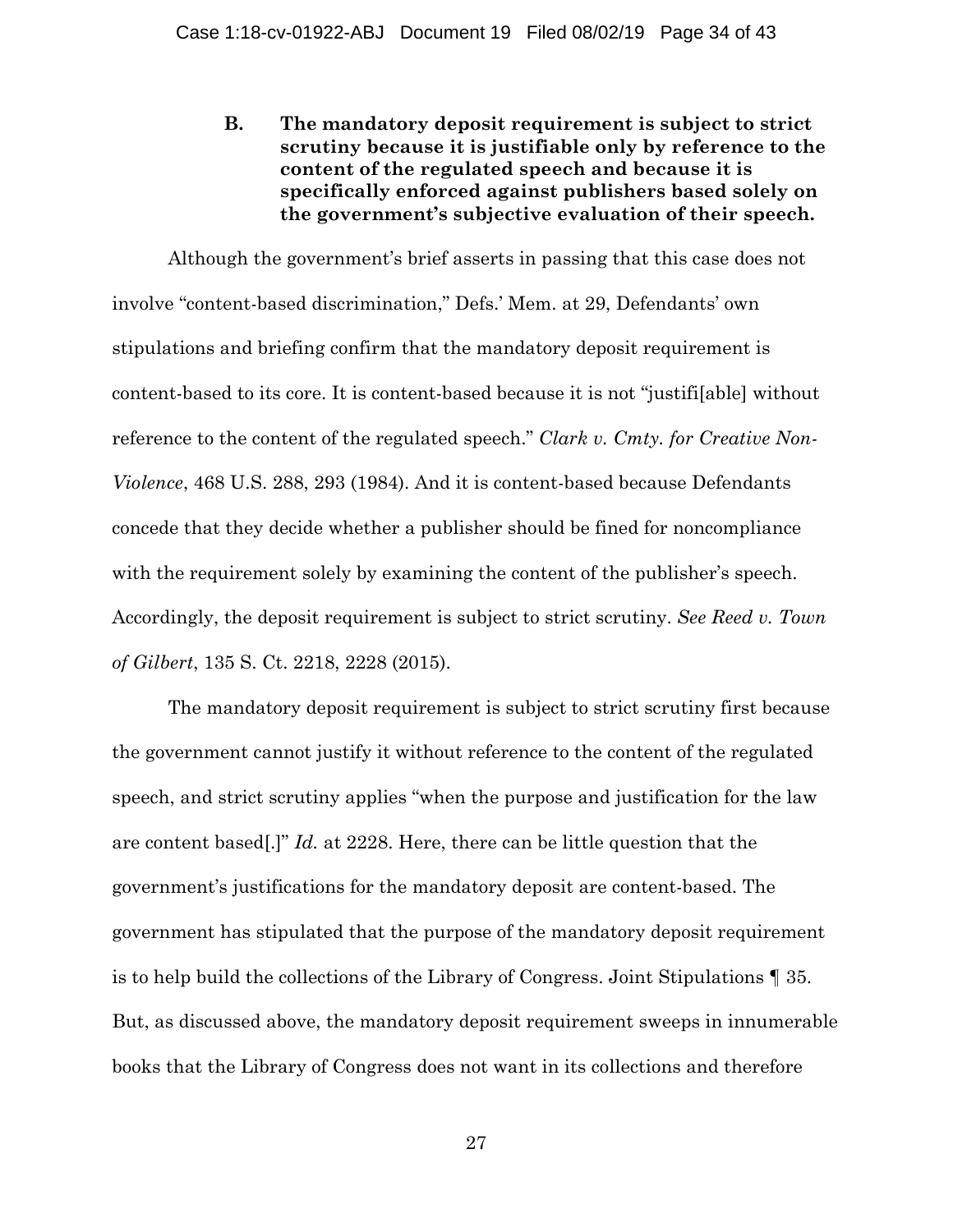**B. The mandatory deposit requirement is subject to strict scrutiny because it is justifiable only by reference to the content of the regulated speech and because it is specifically enforced against publishers based solely on the government's subjective evaluation of their speech.** 

Although the government's brief asserts in passing that this case does not involve "content-based discrimination," Defs.' Mem. at 29, Defendants' own stipulations and briefing confirm that the mandatory deposit requirement is content-based to its core. It is content-based because it is not "justifi[able] without reference to the content of the regulated speech." *Clark v. Cmty. for Creative Non-Violence*, 468 U.S. 288, 293 (1984). And it is content-based because Defendants concede that they decide whether a publisher should be fined for noncompliance with the requirement solely by examining the content of the publisher's speech. Accordingly, the deposit requirement is subject to strict scrutiny. *See Reed v. Town of Gilbert*, 135 S. Ct. 2218, 2228 (2015).

The mandatory deposit requirement is subject to strict scrutiny first because the government cannot justify it without reference to the content of the regulated speech, and strict scrutiny applies "when the purpose and justification for the law are content based[.]" *Id.* at 2228. Here, there can be little question that the government's justifications for the mandatory deposit are content-based. The government has stipulated that the purpose of the mandatory deposit requirement is to help build the collections of the Library of Congress. Joint Stipulations ¶ 35. But, as discussed above, the mandatory deposit requirement sweeps in innumerable books that the Library of Congress does not want in its collections and therefore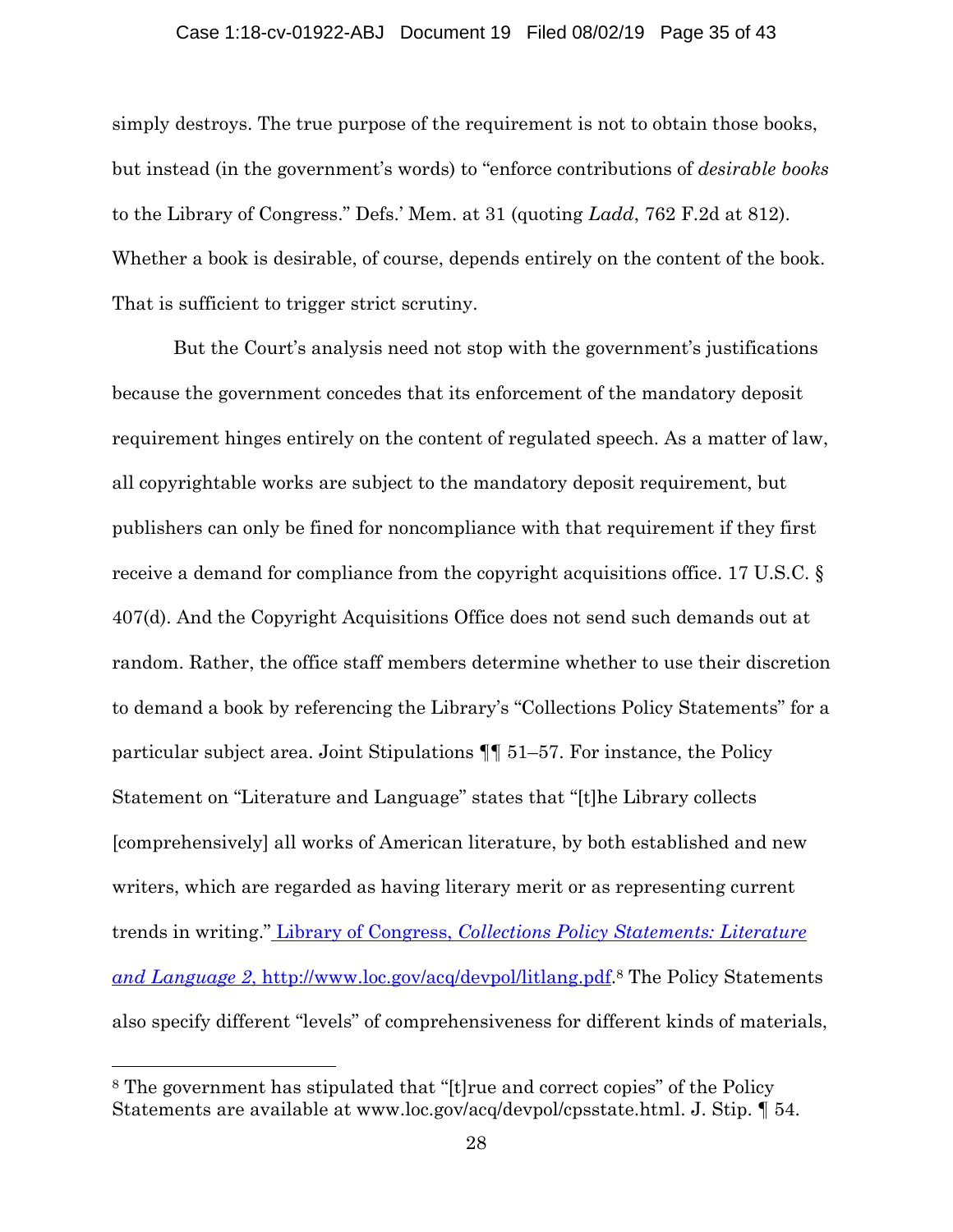#### Case 1:18-cv-01922-ABJ Document 19 Filed 08/02/19 Page 35 of 43

simply destroys. The true purpose of the requirement is not to obtain those books, but instead (in the government's words) to "enforce contributions of *desirable books*  to the Library of Congress." Defs.' Mem. at 31 (quoting *Ladd*, 762 F.2d at 812). Whether a book is desirable, of course, depends entirely on the content of the book. That is sufficient to trigger strict scrutiny.

 But the Court's analysis need not stop with the government's justifications because the government concedes that its enforcement of the mandatory deposit requirement hinges entirely on the content of regulated speech. As a matter of law, all copyrightable works are subject to the mandatory deposit requirement, but publishers can only be fined for noncompliance with that requirement if they first receive a demand for compliance from the copyright acquisitions office. 17 U.S.C. § 407(d). And the Copyright Acquisitions Office does not send such demands out at random. Rather, the office staff members determine whether to use their discretion to demand a book by referencing the Library's "Collections Policy Statements" for a particular subject area. Joint Stipulations ¶¶ 51–57. For instance, the Policy Statement on "Literature and Language" states that "[t]he Library collects [comprehensively] all works of American literature, by both established and new writers, which are regarded as having literary merit or as representing current trends in writing." Library of Congress, *Collections Policy Statements: Literature and Language 2*, http://www.loc.gov/acq/devpol/litlang.pdf.8 The Policy Statements also specify different "levels" of comprehensiveness for different kinds of materials,

l

<sup>8</sup> The government has stipulated that "[t]rue and correct copies" of the Policy Statements are available at www.loc.gov/acq/devpol/cpsstate.html. J. Stip. ¶ 54.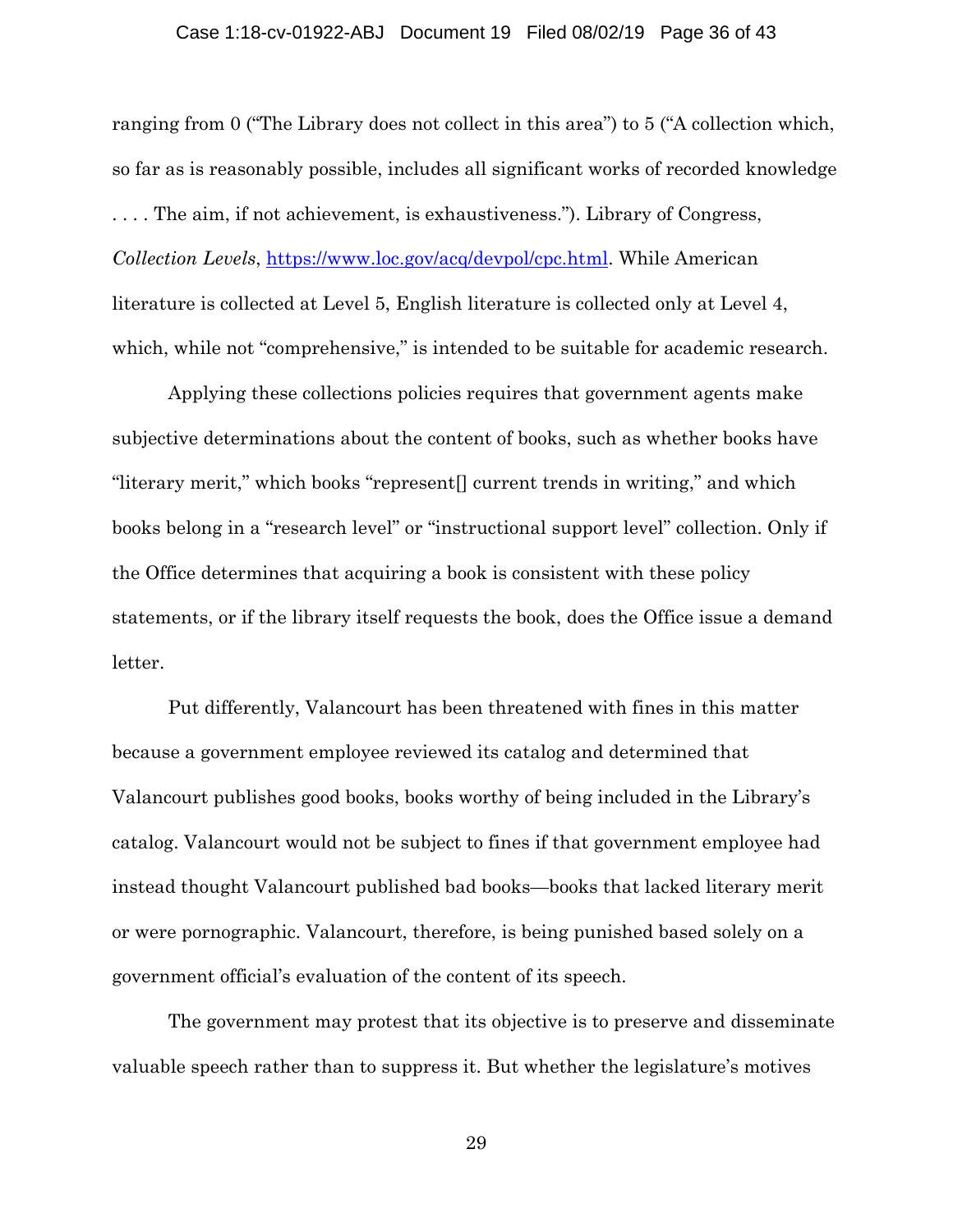#### Case 1:18-cv-01922-ABJ Document 19 Filed 08/02/19 Page 36 of 43

ranging from 0 ("The Library does not collect in this area") to 5 ("A collection which, so far as is reasonably possible, includes all significant works of recorded knowledge . . . . The aim, if not achievement, is exhaustiveness."). Library of Congress, *Collection Levels*, https://www.loc.gov/acq/devpol/cpc.html. While American literature is collected at Level 5, English literature is collected only at Level 4, which, while not "comprehensive," is intended to be suitable for academic research.

Applying these collections policies requires that government agents make subjective determinations about the content of books, such as whether books have "literary merit," which books "represent[] current trends in writing," and which books belong in a "research level" or "instructional support level" collection. Only if the Office determines that acquiring a book is consistent with these policy statements, or if the library itself requests the book, does the Office issue a demand letter.

Put differently, Valancourt has been threatened with fines in this matter because a government employee reviewed its catalog and determined that Valancourt publishes good books, books worthy of being included in the Library's catalog. Valancourt would not be subject to fines if that government employee had instead thought Valancourt published bad books—books that lacked literary merit or were pornographic. Valancourt, therefore, is being punished based solely on a government official's evaluation of the content of its speech.

The government may protest that its objective is to preserve and disseminate valuable speech rather than to suppress it. But whether the legislature's motives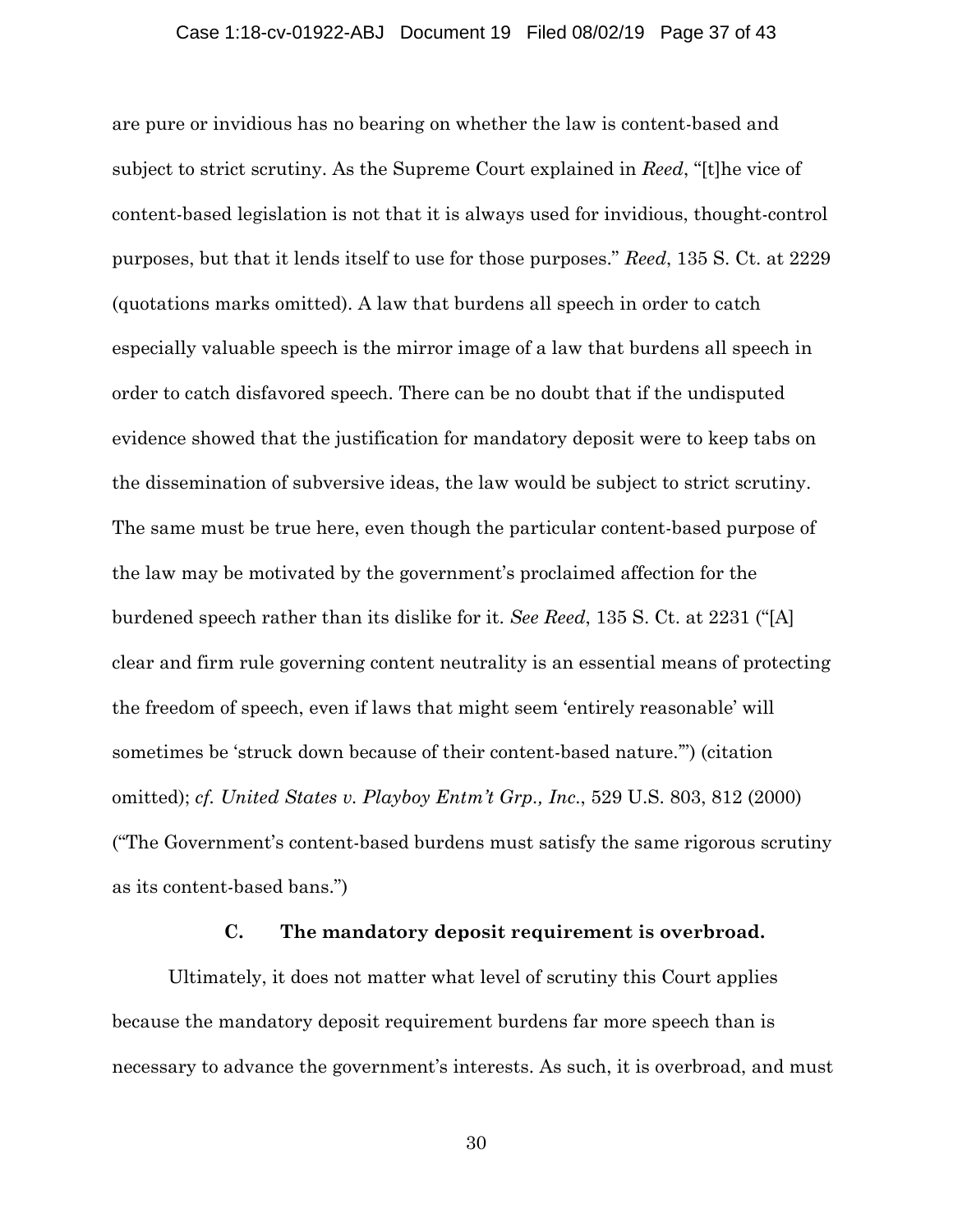#### Case 1:18-cv-01922-ABJ Document 19 Filed 08/02/19 Page 37 of 43

are pure or invidious has no bearing on whether the law is content-based and subject to strict scrutiny. As the Supreme Court explained in *Reed*, "[t]he vice of content-based legislation is not that it is always used for invidious, thought-control purposes, but that it lends itself to use for those purposes." *Reed*, 135 S. Ct. at 2229 (quotations marks omitted). A law that burdens all speech in order to catch especially valuable speech is the mirror image of a law that burdens all speech in order to catch disfavored speech. There can be no doubt that if the undisputed evidence showed that the justification for mandatory deposit were to keep tabs on the dissemination of subversive ideas, the law would be subject to strict scrutiny. The same must be true here, even though the particular content-based purpose of the law may be motivated by the government's proclaimed affection for the burdened speech rather than its dislike for it. *See Reed*, 135 S. Ct. at 2231 ("[A] clear and firm rule governing content neutrality is an essential means of protecting the freedom of speech, even if laws that might seem 'entirely reasonable' will sometimes be 'struck down because of their content-based nature.'") (citation omitted); *cf. United States v. Playboy Entm't Grp., Inc.*, 529 U.S. 803, 812 (2000) ("The Government's content-based burdens must satisfy the same rigorous scrutiny as its content-based bans.")

## **C. The mandatory deposit requirement is overbroad.**

Ultimately, it does not matter what level of scrutiny this Court applies because the mandatory deposit requirement burdens far more speech than is necessary to advance the government's interests. As such, it is overbroad, and must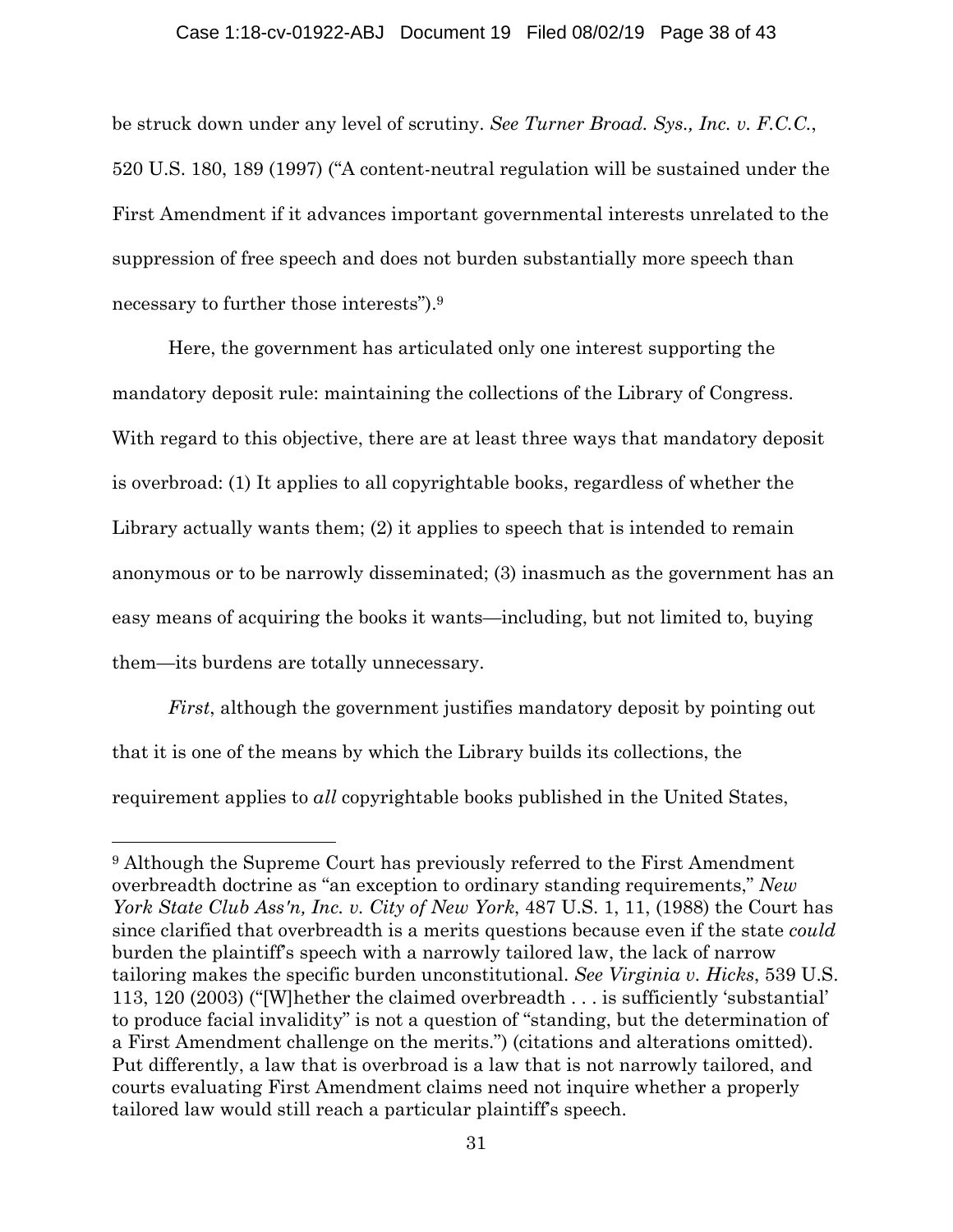#### Case 1:18-cv-01922-ABJ Document 19 Filed 08/02/19 Page 38 of 43

be struck down under any level of scrutiny. *See Turner Broad. Sys., Inc. v. F.C.C.*, 520 U.S. 180, 189 (1997) ("A content-neutral regulation will be sustained under the First Amendment if it advances important governmental interests unrelated to the suppression of free speech and does not burden substantially more speech than necessary to further those interests").9

Here, the government has articulated only one interest supporting the mandatory deposit rule: maintaining the collections of the Library of Congress. With regard to this objective, there are at least three ways that mandatory deposit is overbroad: (1) It applies to all copyrightable books, regardless of whether the Library actually wants them; (2) it applies to speech that is intended to remain anonymous or to be narrowly disseminated; (3) inasmuch as the government has an easy means of acquiring the books it wants—including, but not limited to, buying them—its burdens are totally unnecessary.

*First*, although the government justifies mandatory deposit by pointing out that it is one of the means by which the Library builds its collections, the requirement applies to *all* copyrightable books published in the United States,

<sup>9</sup> Although the Supreme Court has previously referred to the First Amendment overbreadth doctrine as "an exception to ordinary standing requirements," *New York State Club Ass'n, Inc. v. City of New York*, 487 U.S. 1, 11, (1988) the Court has since clarified that overbreadth is a merits questions because even if the state *could*  burden the plaintiff's speech with a narrowly tailored law, the lack of narrow tailoring makes the specific burden unconstitutional. *See Virginia v. Hicks*, 539 U.S. 113, 120 (2003) ("[W]hether the claimed overbreadth . . . is sufficiently 'substantial' to produce facial invalidity" is not a question of "standing, but the determination of a First Amendment challenge on the merits.") (citations and alterations omitted). Put differently, a law that is overbroad is a law that is not narrowly tailored, and courts evaluating First Amendment claims need not inquire whether a properly tailored law would still reach a particular plaintiff's speech.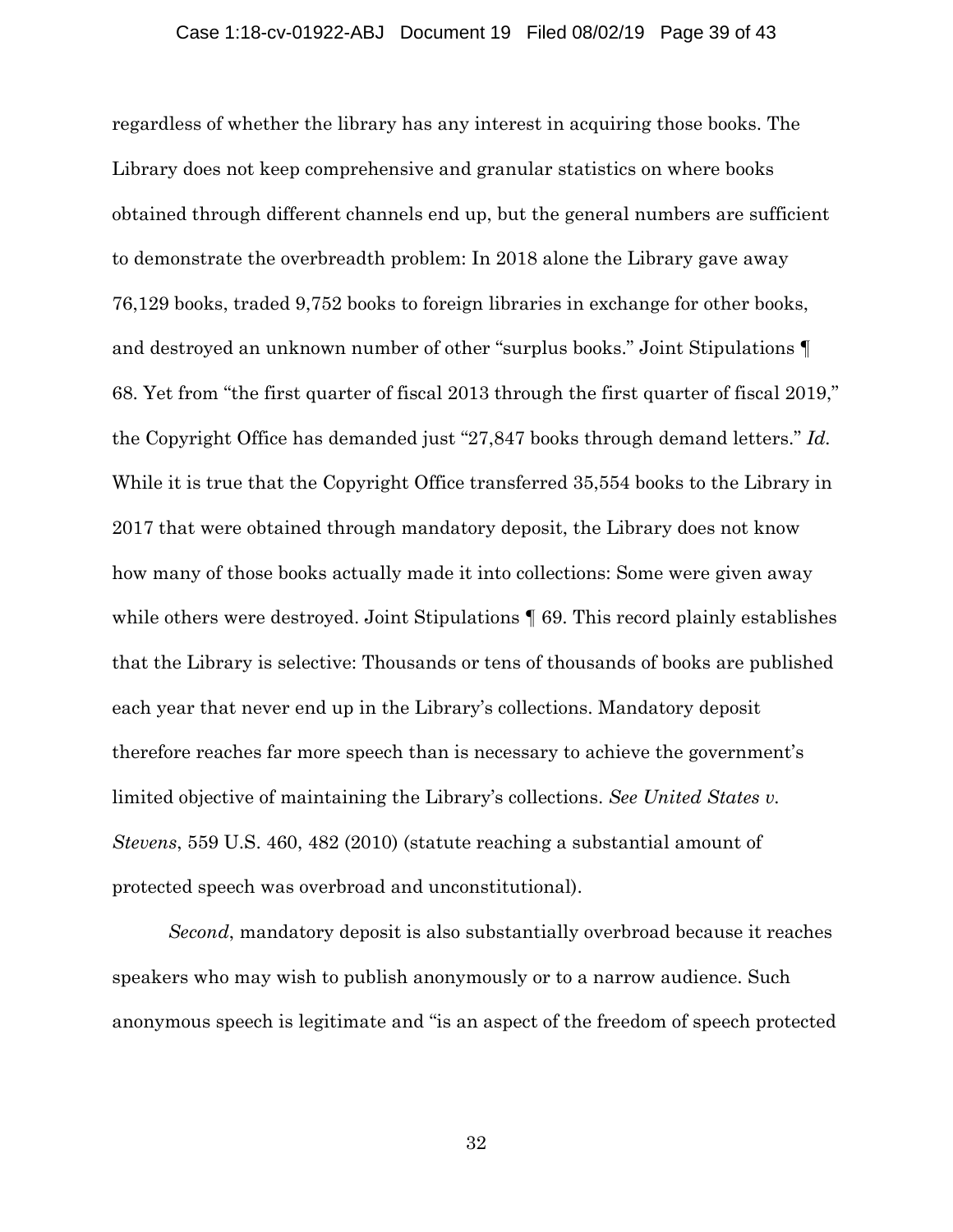#### Case 1:18-cv-01922-ABJ Document 19 Filed 08/02/19 Page 39 of 43

regardless of whether the library has any interest in acquiring those books. The Library does not keep comprehensive and granular statistics on where books obtained through different channels end up, but the general numbers are sufficient to demonstrate the overbreadth problem: In 2018 alone the Library gave away 76,129 books, traded 9,752 books to foreign libraries in exchange for other books, and destroyed an unknown number of other "surplus books." Joint Stipulations ¶ 68. Yet from "the first quarter of fiscal 2013 through the first quarter of fiscal 2019," the Copyright Office has demanded just "27,847 books through demand letters." *Id.* While it is true that the Copyright Office transferred 35,554 books to the Library in 2017 that were obtained through mandatory deposit, the Library does not know how many of those books actually made it into collections: Some were given away while others were destroyed. Joint Stipulations  $\parallel 69$ . This record plainly establishes that the Library is selective: Thousands or tens of thousands of books are published each year that never end up in the Library's collections. Mandatory deposit therefore reaches far more speech than is necessary to achieve the government's limited objective of maintaining the Library's collections. *See United States v. Stevens*, 559 U.S. 460, 482 (2010) (statute reaching a substantial amount of protected speech was overbroad and unconstitutional).

*Second*, mandatory deposit is also substantially overbroad because it reaches speakers who may wish to publish anonymously or to a narrow audience. Such anonymous speech is legitimate and "is an aspect of the freedom of speech protected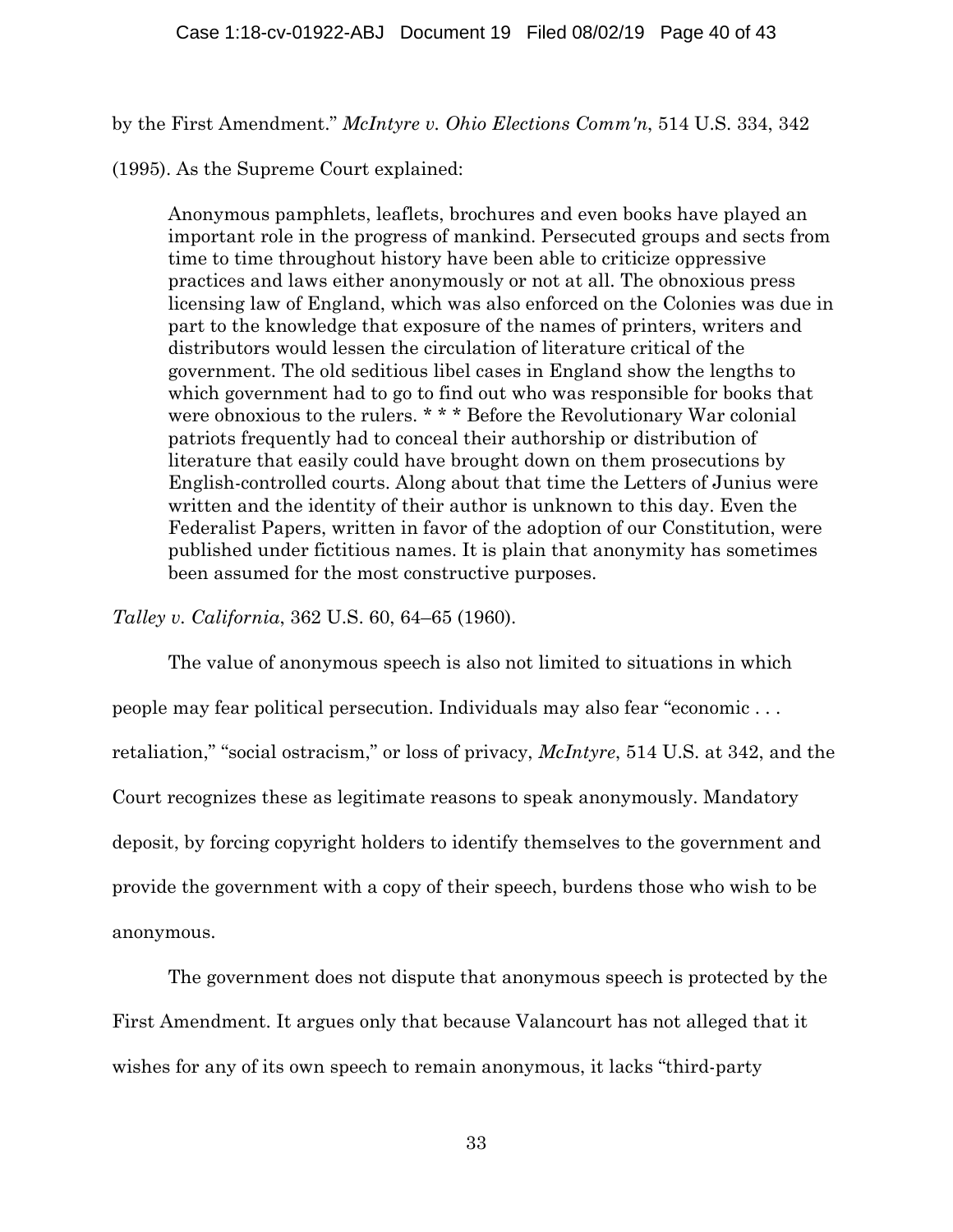by the First Amendment." *McIntyre v. Ohio Elections Comm'n*, 514 U.S. 334, 342

(1995). As the Supreme Court explained:

Anonymous pamphlets, leaflets, brochures and even books have played an important role in the progress of mankind. Persecuted groups and sects from time to time throughout history have been able to criticize oppressive practices and laws either anonymously or not at all. The obnoxious press licensing law of England, which was also enforced on the Colonies was due in part to the knowledge that exposure of the names of printers, writers and distributors would lessen the circulation of literature critical of the government. The old seditious libel cases in England show the lengths to which government had to go to find out who was responsible for books that were obnoxious to the rulers. \* \* \* Before the Revolutionary War colonial patriots frequently had to conceal their authorship or distribution of literature that easily could have brought down on them prosecutions by English-controlled courts. Along about that time the Letters of Junius were written and the identity of their author is unknown to this day. Even the Federalist Papers, written in favor of the adoption of our Constitution, were published under fictitious names. It is plain that anonymity has sometimes been assumed for the most constructive purposes.

*Talley v. California*, 362 U.S. 60, 64–65 (1960).

The value of anonymous speech is also not limited to situations in which people may fear political persecution. Individuals may also fear "economic . . . retaliation," "social ostracism," or loss of privacy, *McIntyre*, 514 U.S. at 342, and the Court recognizes these as legitimate reasons to speak anonymously. Mandatory deposit, by forcing copyright holders to identify themselves to the government and provide the government with a copy of their speech, burdens those who wish to be anonymous.

The government does not dispute that anonymous speech is protected by the First Amendment. It argues only that because Valancourt has not alleged that it wishes for any of its own speech to remain anonymous, it lacks "third-party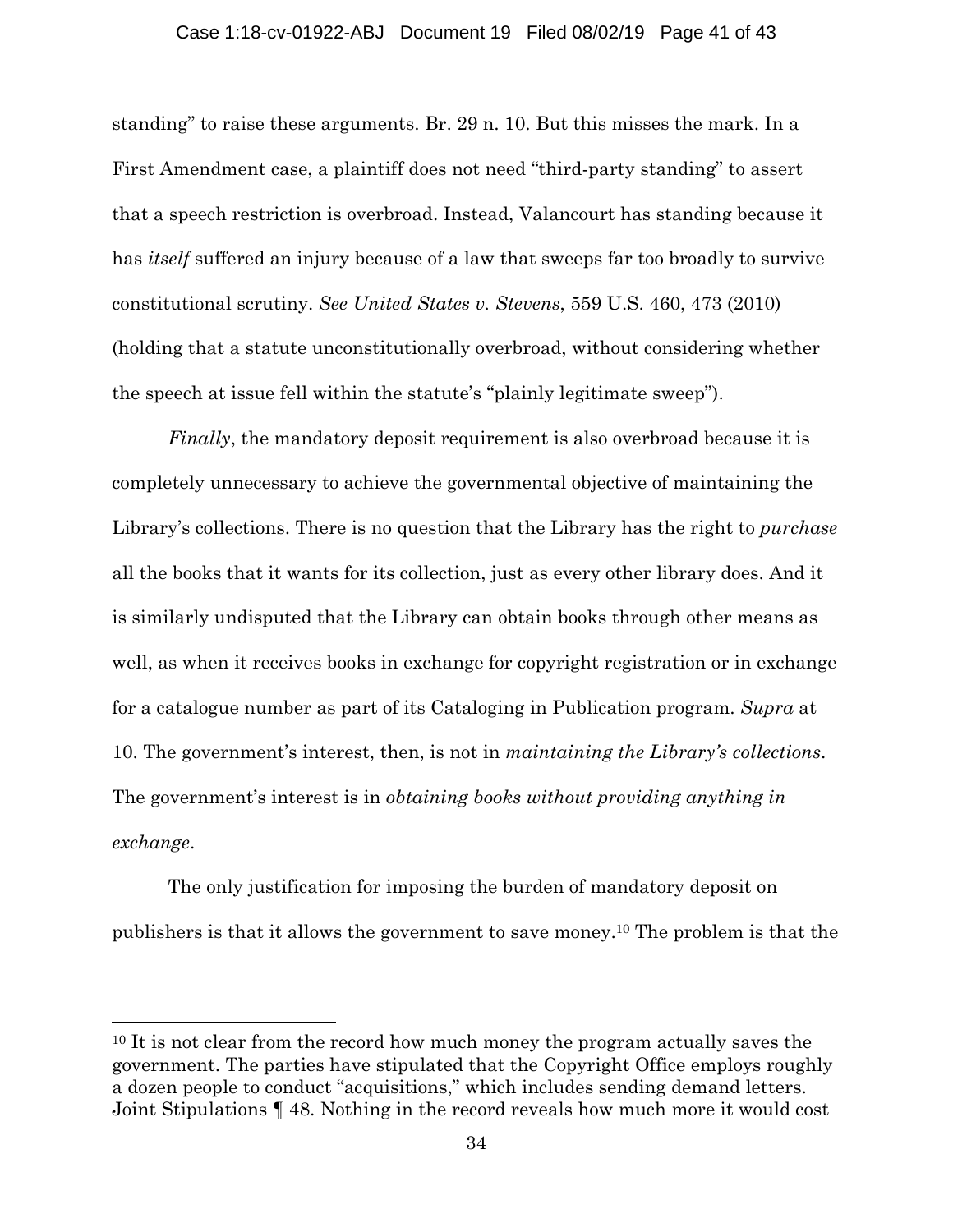#### Case 1:18-cv-01922-ABJ Document 19 Filed 08/02/19 Page 41 of 43

standing" to raise these arguments. Br. 29 n. 10. But this misses the mark. In a First Amendment case, a plaintiff does not need "third-party standing" to assert that a speech restriction is overbroad. Instead, Valancourt has standing because it has *itself* suffered an injury because of a law that sweeps far too broadly to survive constitutional scrutiny. *See United States v. Stevens*, 559 U.S. 460, 473 (2010) (holding that a statute unconstitutionally overbroad, without considering whether the speech at issue fell within the statute's "plainly legitimate sweep").

*Finally*, the mandatory deposit requirement is also overbroad because it is completely unnecessary to achieve the governmental objective of maintaining the Library's collections. There is no question that the Library has the right to *purchase*  all the books that it wants for its collection, just as every other library does. And it is similarly undisputed that the Library can obtain books through other means as well, as when it receives books in exchange for copyright registration or in exchange for a catalogue number as part of its Cataloging in Publication program. *Supra* at 10. The government's interest, then, is not in *maintaining the Library's collections*. The government's interest is in *obtaining books without providing anything in exchange*.

The only justification for imposing the burden of mandatory deposit on publishers is that it allows the government to save money.10 The problem is that the

l

<sup>&</sup>lt;sup>10</sup> It is not clear from the record how much money the program actually saves the government. The parties have stipulated that the Copyright Office employs roughly a dozen people to conduct "acquisitions," which includes sending demand letters. Joint Stipulations ¶ 48. Nothing in the record reveals how much more it would cost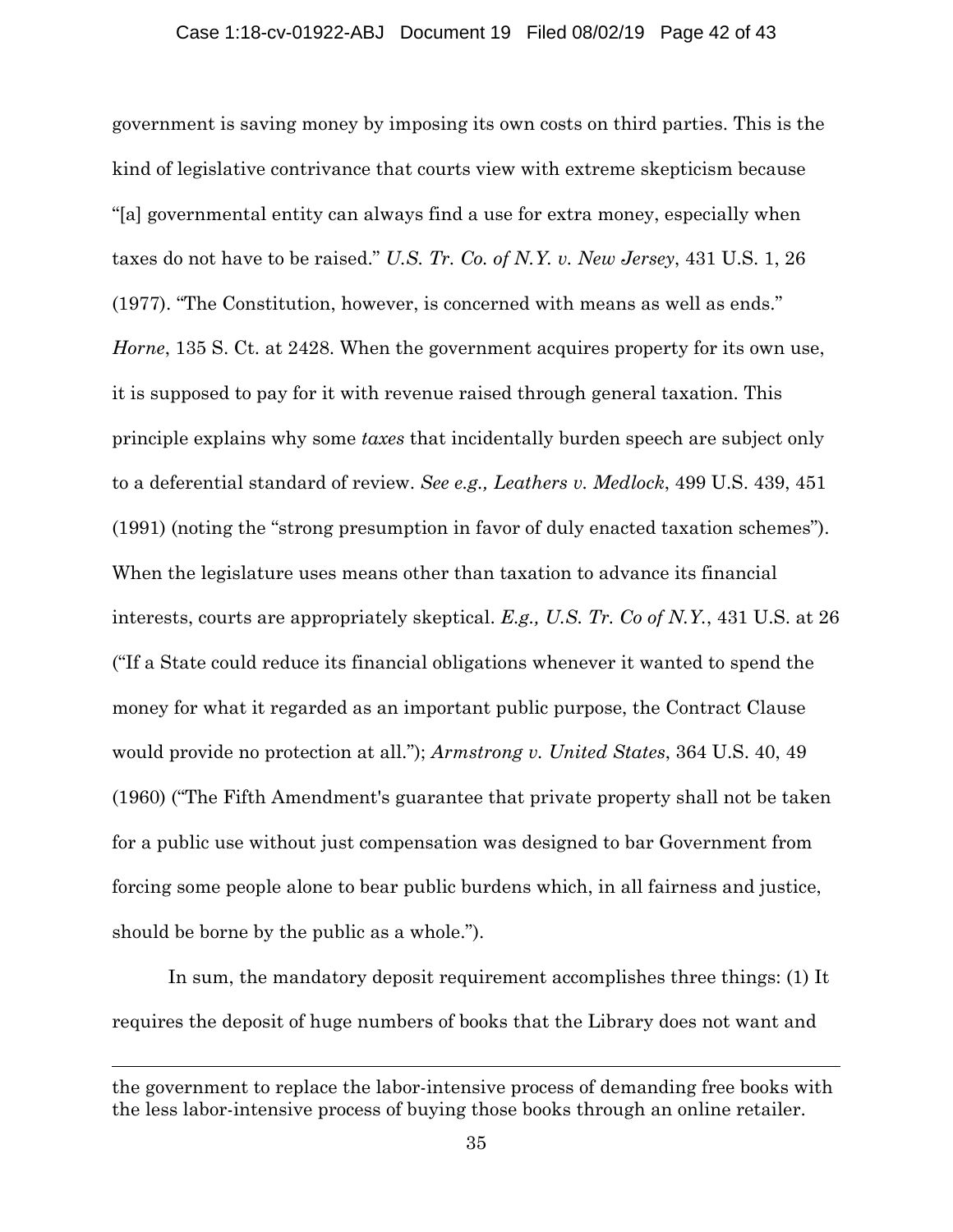government is saving money by imposing its own costs on third parties. This is the kind of legislative contrivance that courts view with extreme skepticism because "[a] governmental entity can always find a use for extra money, especially when taxes do not have to be raised." *U.S. Tr. Co. of N.Y. v. New Jersey*, 431 U.S. 1, 26 (1977). "The Constitution, however, is concerned with means as well as ends." *Horne*, 135 S. Ct. at 2428. When the government acquires property for its own use, it is supposed to pay for it with revenue raised through general taxation. This principle explains why some *taxes* that incidentally burden speech are subject only to a deferential standard of review. *See e.g., Leathers v. Medlock*, 499 U.S. 439, 451 (1991) (noting the "strong presumption in favor of duly enacted taxation schemes"). When the legislature uses means other than taxation to advance its financial interests, courts are appropriately skeptical. *E.g., U.S. Tr. Co of N.Y.*, 431 U.S. at 26 ("If a State could reduce its financial obligations whenever it wanted to spend the money for what it regarded as an important public purpose, the Contract Clause would provide no protection at all."); *Armstrong v. United States*, 364 U.S. 40, 49 (1960) ("The Fifth Amendment's guarantee that private property shall not be taken for a public use without just compensation was designed to bar Government from forcing some people alone to bear public burdens which, in all fairness and justice, should be borne by the public as a whole.").

In sum, the mandatory deposit requirement accomplishes three things: (1) It requires the deposit of huge numbers of books that the Library does not want and

l

the government to replace the labor-intensive process of demanding free books with the less labor-intensive process of buying those books through an online retailer.